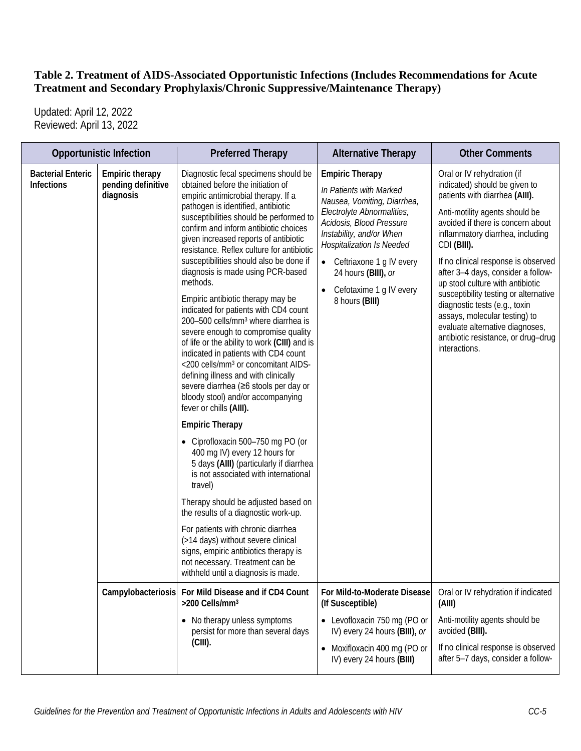Updated: April 12, 2022 Reviewed: April 13, 2022

|                                        | <b>Opportunistic Infection</b>                            | <b>Preferred Therapy</b>                                                                                                                                                                                                                                                                                                                                                                                                                                                                                                                                                                                                                                                                                                                                                                                                                                                                                                                                                                                                                                                                                                                                                                                                                                                                                                                                                     | <b>Alternative Therapy</b>                                                                                                                                                                                                                                                                                   | <b>Other Comments</b>                                                                                                                                                                                                                                                                                                                                                                                                                                                                                                                          |
|----------------------------------------|-----------------------------------------------------------|------------------------------------------------------------------------------------------------------------------------------------------------------------------------------------------------------------------------------------------------------------------------------------------------------------------------------------------------------------------------------------------------------------------------------------------------------------------------------------------------------------------------------------------------------------------------------------------------------------------------------------------------------------------------------------------------------------------------------------------------------------------------------------------------------------------------------------------------------------------------------------------------------------------------------------------------------------------------------------------------------------------------------------------------------------------------------------------------------------------------------------------------------------------------------------------------------------------------------------------------------------------------------------------------------------------------------------------------------------------------------|--------------------------------------------------------------------------------------------------------------------------------------------------------------------------------------------------------------------------------------------------------------------------------------------------------------|------------------------------------------------------------------------------------------------------------------------------------------------------------------------------------------------------------------------------------------------------------------------------------------------------------------------------------------------------------------------------------------------------------------------------------------------------------------------------------------------------------------------------------------------|
| <b>Bacterial Enteric</b><br>Infections | <b>Empiric therapy</b><br>pending definitive<br>diagnosis | Diagnostic fecal specimens should be<br>obtained before the initiation of<br>empiric antimicrobial therapy. If a<br>pathogen is identified, antibiotic<br>susceptibilities should be performed to<br>confirm and inform antibiotic choices<br>given increased reports of antibiotic<br>resistance. Reflex culture for antibiotic<br>susceptibilities should also be done if<br>diagnosis is made using PCR-based<br>methods.<br>Empiric antibiotic therapy may be<br>indicated for patients with CD4 count<br>200-500 cells/mm <sup>3</sup> where diarrhea is<br>severe enough to compromise quality<br>of life or the ability to work (CIII) and is<br>indicated in patients with CD4 count<br><200 cells/mm <sup>3</sup> or concomitant AIDS-<br>defining illness and with clinically<br>severe diarrhea (≥6 stools per day or<br>bloody stool) and/or accompanying<br>fever or chills (AIII).<br><b>Empiric Therapy</b><br>• Ciprofloxacin 500-750 mg PO (or<br>400 mg IV) every 12 hours for<br>5 days (AIII) (particularly if diarrhea<br>is not associated with international<br>travel)<br>Therapy should be adjusted based on<br>the results of a diagnostic work-up.<br>For patients with chronic diarrhea<br>(>14 days) without severe clinical<br>signs, empiric antibiotics therapy is<br>not necessary. Treatment can be<br>withheld until a diagnosis is made. | <b>Empiric Therapy</b><br>In Patients with Marked<br>Nausea, Vomiting, Diarrhea,<br>Electrolyte Abnormalities,<br>Acidosis, Blood Pressure<br>Instability, and/or When<br><b>Hospitalization Is Needed</b><br>• Ceftriaxone 1 g IV every<br>24 hours (BIII), or<br>Cefotaxime 1 g IV every<br>8 hours (BIII) | Oral or IV rehydration (if<br>indicated) should be given to<br>patients with diarrhea (AIII).<br>Anti-motility agents should be<br>avoided if there is concern about<br>inflammatory diarrhea, including<br>CDI (BIII).<br>If no clinical response is observed<br>after 3-4 days, consider a follow-<br>up stool culture with antibiotic<br>susceptibility testing or alternative<br>diagnostic tests (e.g., toxin<br>assays, molecular testing) to<br>evaluate alternative diagnoses,<br>antibiotic resistance, or drug-drug<br>interactions. |
|                                        | Campylobacteriosis                                        | For Mild Disease and if CD4 Count<br>>200 Cells/mm <sup>3</sup>                                                                                                                                                                                                                                                                                                                                                                                                                                                                                                                                                                                                                                                                                                                                                                                                                                                                                                                                                                                                                                                                                                                                                                                                                                                                                                              | For Mild-to-Moderate Disease<br>(If Susceptible)                                                                                                                                                                                                                                                             | Oral or IV rehydration if indicated<br>(AIII)                                                                                                                                                                                                                                                                                                                                                                                                                                                                                                  |
|                                        |                                                           | No therapy unless symptoms<br>٠<br>persist for more than several days                                                                                                                                                                                                                                                                                                                                                                                                                                                                                                                                                                                                                                                                                                                                                                                                                                                                                                                                                                                                                                                                                                                                                                                                                                                                                                        | • Levofloxacin 750 mg (PO or<br>IV) every 24 hours (BIII), or                                                                                                                                                                                                                                                | Anti-motility agents should be<br>avoided (BIII).                                                                                                                                                                                                                                                                                                                                                                                                                                                                                              |
|                                        |                                                           | $(CIII)$ .                                                                                                                                                                                                                                                                                                                                                                                                                                                                                                                                                                                                                                                                                                                                                                                                                                                                                                                                                                                                                                                                                                                                                                                                                                                                                                                                                                   | • Moxifloxacin 400 mg (PO or<br>IV) every 24 hours (BIII)                                                                                                                                                                                                                                                    | If no clinical response is observed<br>after 5-7 days, consider a follow-                                                                                                                                                                                                                                                                                                                                                                                                                                                                      |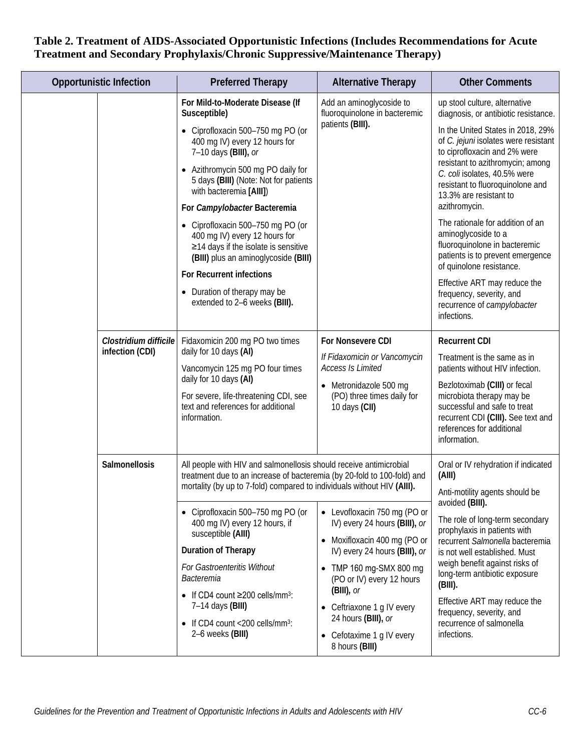|  | <b>Opportunistic Infection</b>           | <b>Preferred Therapy</b>                                                                                                                                                                                                                                                                                                                                                                                                                                                                                                                          | <b>Alternative Therapy</b>                                                                                                                                                                                                                                                                                  | <b>Other Comments</b>                                                                                                                                                                                                                                                                                                                                                                                                             |
|--|------------------------------------------|---------------------------------------------------------------------------------------------------------------------------------------------------------------------------------------------------------------------------------------------------------------------------------------------------------------------------------------------------------------------------------------------------------------------------------------------------------------------------------------------------------------------------------------------------|-------------------------------------------------------------------------------------------------------------------------------------------------------------------------------------------------------------------------------------------------------------------------------------------------------------|-----------------------------------------------------------------------------------------------------------------------------------------------------------------------------------------------------------------------------------------------------------------------------------------------------------------------------------------------------------------------------------------------------------------------------------|
|  |                                          | For Mild-to-Moderate Disease (If<br>Susceptible)<br>• Ciprofloxacin 500-750 mg PO (or<br>400 mg IV) every 12 hours for<br>7-10 days (BIII), or<br>• Azithromycin 500 mg PO daily for<br>5 days (BIII) (Note: Not for patients                                                                                                                                                                                                                                                                                                                     | Add an aminoglycoside to<br>fluoroquinolone in bacteremic<br>patients (BIII).                                                                                                                                                                                                                               | up stool culture, alternative<br>diagnosis, or antibiotic resistance.<br>In the United States in 2018, 29%<br>of C. jejuni isolates were resistant<br>to ciprofloxacin and 2% were<br>resistant to azithromycin; among<br>C. coli isolates, 40.5% were<br>resistant to fluoroquinolone and                                                                                                                                        |
|  |                                          | with bacteremia [AIII])<br>For Campylobacter Bacteremia<br>Ciprofloxacin 500-750 mg PO (or<br>400 mg IV) every 12 hours for<br>≥14 days if the isolate is sensitive<br>(BIII) plus an aminoglycoside (BIII)<br>For Recurrent infections<br>Duration of therapy may be<br>extended to 2-6 weeks (BIII).                                                                                                                                                                                                                                            |                                                                                                                                                                                                                                                                                                             | 13.3% are resistant to<br>azithromycin.<br>The rationale for addition of an<br>aminoglycoside to a<br>fluoroquinolone in bacteremic<br>patients is to prevent emergence<br>of quinolone resistance.<br>Effective ART may reduce the<br>frequency, severity, and<br>recurrence of campylobacter<br>infections.                                                                                                                     |
|  | Clostridium difficile<br>infection (CDI) | Fidaxomicin 200 mg PO two times<br>daily for 10 days (AI)<br>Vancomycin 125 mg PO four times<br>daily for 10 days (AI)<br>For severe, life-threatening CDI, see<br>text and references for additional<br>information.                                                                                                                                                                                                                                                                                                                             | For Nonsevere CDI<br>If Fidaxomicin or Vancomycin<br><b>Access Is Limited</b><br>• Metronidazole 500 mg<br>(PO) three times daily for<br>10 days (CII)                                                                                                                                                      | <b>Recurrent CDI</b><br>Treatment is the same as in<br>patients without HIV infection.<br>Bezlotoximab (CIII) or fecal<br>microbiota therapy may be<br>successful and safe to treat<br>recurrent CDI (CIII). See text and<br>references for additional<br>information.                                                                                                                                                            |
|  | Salmonellosis                            | All people with HIV and salmonellosis should receive antimicrobial<br>treatment due to an increase of bacteremia (by 20-fold to 100-fold) and<br>mortality (by up to 7-fold) compared to individuals without HIV (AIII).<br>Ciprofloxacin 500-750 mg PO (or<br>400 mg IV) every 12 hours, if<br>susceptible (AIII)<br>Duration of Therapy<br>For Gastroenteritis Without<br><b>Bacteremia</b><br>• If CD4 count $\geq$ 200 cells/mm <sup>3</sup> :<br>7-14 days (BIII)<br>$\bullet$ If CD4 count <200 cells/mm <sup>3</sup> :<br>2-6 weeks (BIII) | • Levofloxacin 750 mg (PO or<br>IV) every 24 hours (BIII), or<br>• Moxifloxacin 400 mg (PO or<br>IV) every 24 hours (BIII), or<br>• TMP 160 mg-SMX 800 mg<br>(PO or IV) every 12 hours<br>$(BIII)$ , or<br>• Ceftriaxone 1 g IV every<br>24 hours (BIII), or<br>• Cefotaxime 1 g IV every<br>8 hours (BIII) | Oral or IV rehydration if indicated<br>(AIII)<br>Anti-motility agents should be<br>avoided (BIII).<br>The role of long-term secondary<br>prophylaxis in patients with<br>recurrent Salmonella bacteremia<br>is not well established. Must<br>weigh benefit against risks of<br>long-term antibiotic exposure<br>$(BIII)$ .<br>Effective ART may reduce the<br>frequency, severity, and<br>recurrence of salmonella<br>infections. |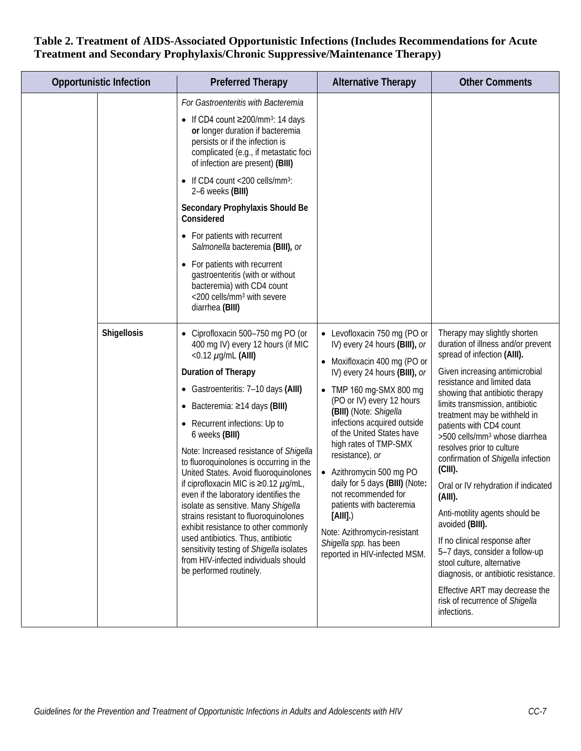| <b>Opportunistic Infection</b> | <b>Preferred Therapy</b>                                                                                                                                                                                                                                                                                                                                                                                                                                                                                                                                                                                                                                                                                                                                                              | <b>Alternative Therapy</b>                                                                                                                                                                                                                                                                                                                                                                                                                                                                                                                     | <b>Other Comments</b>                                                                                                                                                                                                                                                                                                                                                                                                                                                                                                                                                                                                                                                                                                                                                |
|--------------------------------|---------------------------------------------------------------------------------------------------------------------------------------------------------------------------------------------------------------------------------------------------------------------------------------------------------------------------------------------------------------------------------------------------------------------------------------------------------------------------------------------------------------------------------------------------------------------------------------------------------------------------------------------------------------------------------------------------------------------------------------------------------------------------------------|------------------------------------------------------------------------------------------------------------------------------------------------------------------------------------------------------------------------------------------------------------------------------------------------------------------------------------------------------------------------------------------------------------------------------------------------------------------------------------------------------------------------------------------------|----------------------------------------------------------------------------------------------------------------------------------------------------------------------------------------------------------------------------------------------------------------------------------------------------------------------------------------------------------------------------------------------------------------------------------------------------------------------------------------------------------------------------------------------------------------------------------------------------------------------------------------------------------------------------------------------------------------------------------------------------------------------|
|                                | For Gastroenteritis with Bacteremia<br>• If CD4 count $\geq$ 200/mm <sup>3</sup> : 14 days<br>or longer duration if bacteremia<br>persists or if the infection is<br>complicated (e.g., if metastatic foci<br>of infection are present) (BIII)<br>If CD4 count <200 cells/mm <sup>3</sup> :<br>$\bullet$<br>2-6 weeks (BIII)<br>Secondary Prophylaxis Should Be<br>Considered<br>For patients with recurrent<br>$\bullet$<br>Salmonella bacteremia (BIII), or<br>For patients with recurrent<br>$\bullet$<br>gastroenteritis (with or without<br>bacteremia) with CD4 count<br><200 cells/mm <sup>3</sup> with severe<br>diarrhea (BIII)                                                                                                                                              |                                                                                                                                                                                                                                                                                                                                                                                                                                                                                                                                                |                                                                                                                                                                                                                                                                                                                                                                                                                                                                                                                                                                                                                                                                                                                                                                      |
| <b>Shigellosis</b>             | Ciprofloxacin 500-750 mg PO (or<br>$\bullet$<br>400 mg IV) every 12 hours (if MIC<br><0.12 $\mu$ g/mL (AIII)<br>Duration of Therapy<br>• Gastroenteritis: 7-10 days (AIII)<br>Bacteremia: ≥14 days (BIII)<br>$\bullet$<br>Recurrent infections: Up to<br>$\bullet$<br>6 weeks (BIII)<br>Note: Increased resistance of Shigella<br>to fluoroquinolones is occurring in the<br>United States. Avoid fluoroquinolones<br>if ciprofloxacin MIC is ≥0.12 $\mu$ g/mL,<br>even if the laboratory identifies the<br>isolate as sensitive. Many Shigella<br>strains resistant to fluoroquinolones<br>exhibit resistance to other commonly<br>used antibiotics. Thus, antibiotic<br>sensitivity testing of Shigella isolates<br>from HIV-infected individuals should<br>be performed routinely. | • Levofloxacin 750 mg (PO or<br>IV) every 24 hours (BIII), or<br>• Moxifloxacin 400 mg (PO or<br>IV) every 24 hours (BIII), or<br>• TMP 160 mg-SMX 800 mg<br>(PO or IV) every 12 hours<br>(BIII) (Note: Shigella<br>infections acquired outside<br>of the United States have<br>high rates of TMP-SMX<br>resistance), or<br>• Azithromycin 500 mg PO<br>daily for 5 days (BIII) (Note:<br>not recommended for<br>patients with bacteremia<br>[All].<br>Note: Azithromycin-resistant<br>Shigella spp. has been<br>reported in HIV-infected MSM. | Therapy may slightly shorten<br>duration of illness and/or prevent<br>spread of infection (AIII).<br>Given increasing antimicrobial<br>resistance and limited data<br>showing that antibiotic therapy<br>limits transmission, antibiotic<br>treatment may be withheld in<br>patients with CD4 count<br>>500 cells/mm <sup>3</sup> whose diarrhea<br>resolves prior to culture<br>confirmation of Shigella infection<br>$(CIII)$ .<br>Oral or IV rehydration if indicated<br>(AIII).<br>Anti-motility agents should be<br>avoided (BIII).<br>If no clinical response after<br>5-7 days, consider a follow-up<br>stool culture, alternative<br>diagnosis, or antibiotic resistance.<br>Effective ART may decrease the<br>risk of recurrence of Shigella<br>infections. |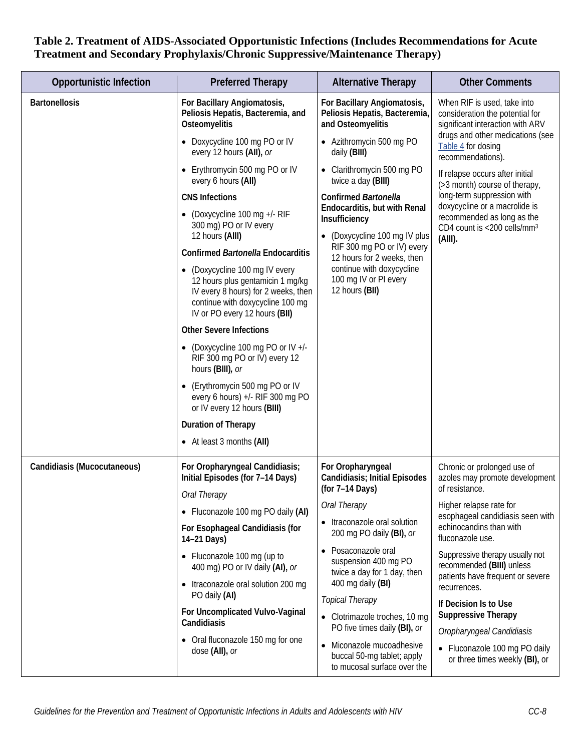| <b>Opportunistic Infection</b> | <b>Preferred Therapy</b>                                                                                                                                                     | <b>Alternative Therapy</b>                                                             | <b>Other Comments</b>                                                                                                                                                             |
|--------------------------------|------------------------------------------------------------------------------------------------------------------------------------------------------------------------------|----------------------------------------------------------------------------------------|-----------------------------------------------------------------------------------------------------------------------------------------------------------------------------------|
| <b>Bartonellosis</b>           | For Bacillary Angiomatosis,<br>Peliosis Hepatis, Bacteremia, and<br>Osteomyelitis                                                                                            | For Bacillary Angiomatosis,<br>Peliosis Hepatis, Bacteremia,<br>and Osteomyelitis      | When RIF is used, take into<br>consideration the potential for<br>significant interaction with ARV<br>drugs and other medications (see<br>Table 4 for dosing<br>recommendations). |
|                                | • Doxycycline 100 mg PO or IV<br>every 12 hours (AII), or                                                                                                                    | • Azithromycin 500 mg PO<br>daily (BIII)                                               |                                                                                                                                                                                   |
|                                | Erythromycin 500 mg PO or IV<br>every 6 hours (All)                                                                                                                          | • Clarithromycin 500 mg PO<br>twice a day (BIII)                                       | If relapse occurs after initial<br>(>3 month) course of therapy,                                                                                                                  |
|                                | <b>CNS Infections</b>                                                                                                                                                        | <b>Confirmed Bartonella</b>                                                            | long-term suppression with<br>doxycycline or a macrolide is                                                                                                                       |
|                                | (Doxycycline 100 mg +/- RIF<br>300 mg) PO or IV every<br>12 hours (AIII)                                                                                                     | Endocarditis, but with Renal<br>Insufficiency<br>(Doxycycline 100 mg IV plus           | recommended as long as the<br>CD4 count is <200 cells/mm <sup>3</sup><br>$(AIII)$ .                                                                                               |
|                                | <b>Confirmed Bartonella Endocarditis</b>                                                                                                                                     | RIF 300 mg PO or IV) every<br>12 hours for 2 weeks, then                               |                                                                                                                                                                                   |
|                                | (Doxycycline 100 mg IV every<br>12 hours plus gentamicin 1 mg/kg<br>IV every 8 hours) for 2 weeks, then<br>continue with doxycycline 100 mg<br>IV or PO every 12 hours (BII) | continue with doxycycline<br>100 mg IV or PI every<br>12 hours (BII)                   |                                                                                                                                                                                   |
|                                | <b>Other Severe Infections</b>                                                                                                                                               |                                                                                        |                                                                                                                                                                                   |
|                                | (Doxycycline 100 mg PO or IV +/-<br>RIF 300 mg PO or IV) every 12<br>hours (BIII), or                                                                                        |                                                                                        |                                                                                                                                                                                   |
|                                | (Erythromycin 500 mg PO or IV<br>every 6 hours) +/- RIF 300 mg PO<br>or IV every 12 hours (BIII)                                                                             |                                                                                        |                                                                                                                                                                                   |
|                                | Duration of Therapy                                                                                                                                                          |                                                                                        |                                                                                                                                                                                   |
|                                | • At least 3 months (AII)                                                                                                                                                    |                                                                                        |                                                                                                                                                                                   |
| Candidiasis (Mucocutaneous)    | For Oropharyngeal Candidiasis;<br>Initial Episodes (for 7-14 Days)                                                                                                           | For Oropharyngeal<br><b>Candidiasis; Initial Episodes</b>                              | Chronic or prolonged use of<br>azoles may promote development                                                                                                                     |
|                                | Oral Therapy                                                                                                                                                                 | (for 7-14 Days)                                                                        | of resistance.                                                                                                                                                                    |
|                                | • Fluconazole 100 mg PO daily (AI)                                                                                                                                           | Oral Therapy                                                                           | Higher relapse rate for<br>esophageal candidiasis seen with                                                                                                                       |
|                                | For Esophageal Candidiasis (for<br>14-21 Days)                                                                                                                               | • Itraconazole oral solution<br>200 mg PO daily (BI), or                               | echinocandins than with<br>fluconazole use.                                                                                                                                       |
|                                | • Fluconazole 100 mg (up to<br>400 mg) PO or IV daily (AI), or                                                                                                               | Posaconazole oral<br>$\bullet$<br>suspension 400 mg PO<br>twice a day for 1 day, then  | Suppressive therapy usually not<br>recommended (BIII) unless                                                                                                                      |
|                                | Itraconazole oral solution 200 mg<br>PO daily (AI)                                                                                                                           | 400 mg daily (BI)<br><b>Topical Therapy</b>                                            | patients have frequent or severe<br>recurrences.                                                                                                                                  |
|                                | For Uncomplicated Vulvo-Vaginal<br>Candidiasis                                                                                                                               | • Clotrimazole troches, 10 mg                                                          | If Decision Is to Use<br><b>Suppressive Therapy</b>                                                                                                                               |
|                                | Oral fluconazole 150 mg for one                                                                                                                                              | PO five times daily (BI), or                                                           | Oropharyngeal Candidiasis                                                                                                                                                         |
|                                | dose (All), or                                                                                                                                                               | • Miconazole mucoadhesive<br>buccal 50-mg tablet; apply<br>to mucosal surface over the | • Fluconazole 100 mg PO daily<br>or three times weekly (BI), or                                                                                                                   |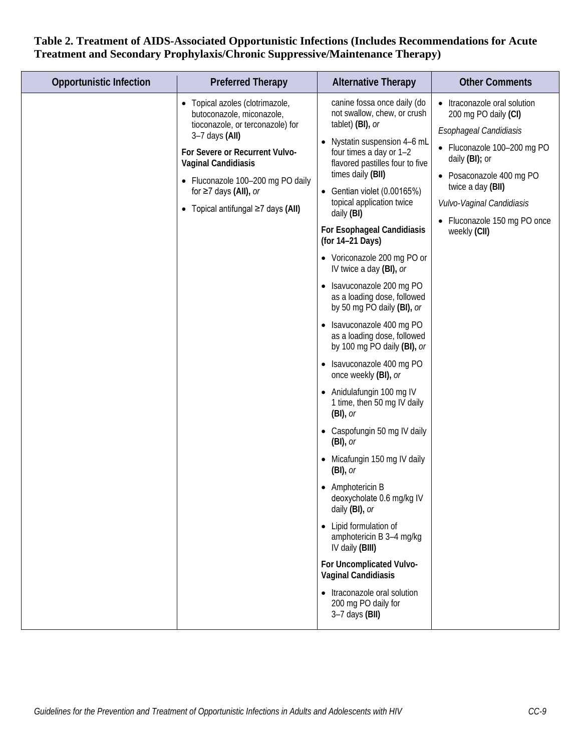| <b>Opportunistic Infection</b> | <b>Preferred Therapy</b>                                                                                                                                                                                                                                                                     | <b>Alternative Therapy</b>                                                                                                                                                                                                                                                                                                                                                                                                                                                                                                                                                                                                                                                                                                                                                                                                                                                                                                                                                                                                                                                             | <b>Other Comments</b>                                                                                                                                                                                                                                         |
|--------------------------------|----------------------------------------------------------------------------------------------------------------------------------------------------------------------------------------------------------------------------------------------------------------------------------------------|----------------------------------------------------------------------------------------------------------------------------------------------------------------------------------------------------------------------------------------------------------------------------------------------------------------------------------------------------------------------------------------------------------------------------------------------------------------------------------------------------------------------------------------------------------------------------------------------------------------------------------------------------------------------------------------------------------------------------------------------------------------------------------------------------------------------------------------------------------------------------------------------------------------------------------------------------------------------------------------------------------------------------------------------------------------------------------------|---------------------------------------------------------------------------------------------------------------------------------------------------------------------------------------------------------------------------------------------------------------|
|                                | Topical azoles (clotrimazole,<br>butoconazole, miconazole,<br>tioconazole, or terconazole) for<br>$3-7$ days $(AII)$<br>For Severe or Recurrent Vulvo-<br><b>Vaginal Candidiasis</b><br>• Fluconazole 100-200 mg PO daily<br>for $\geq 7$ days (AII), or<br>Topical antifungal ≥7 days (AII) | canine fossa once daily (do<br>not swallow, chew, or crush<br>tablet) (BI), or<br>• Nystatin suspension 4-6 mL<br>four times a day or 1-2<br>flavored pastilles four to five<br>times daily (BII)<br>• Gentian violet $(0.00165%)$<br>topical application twice<br>daily (BI)<br>For Esophageal Candidiasis<br>(for 14-21 Days)<br>• Voriconazole 200 mg PO or<br>IV twice a day (BI), or<br>• Isavuconazole 200 mg PO<br>as a loading dose, followed<br>by 50 mg PO daily (BI), or<br>• Isavuconazole 400 mg PO<br>as a loading dose, followed<br>by 100 mg PO daily (BI), or<br>• Isavuconazole 400 mg PO<br>once weekly (BI), or<br>• Anidulafungin 100 mg IV<br>1 time, then 50 mg IV daily<br>$(BI)$ , or<br>• Caspofungin 50 mg IV daily<br>$(BI)$ , or<br>• Micafungin 150 mg IV daily<br>$(BI)$ , or<br>• Amphotericin B<br>deoxycholate 0.6 mg/kg IV<br>daily (BI), or<br>• Lipid formulation of<br>amphotericin B 3-4 mg/kg<br>IV daily (BIII)<br>For Uncomplicated Vulvo-<br>Vaginal Candidiasis<br>• Itraconazole oral solution<br>200 mg PO daily for<br>$3-7$ days (BII) | • Itraconazole oral solution<br>200 mg PO daily (CI)<br>Esophageal Candidiasis<br>• Fluconazole 100-200 mg PO<br>daily (BI); or<br>• Posaconazole 400 mg PO<br>twice a day (BII)<br>Vulvo-Vaginal Candidiasis<br>• Fluconazole 150 mg PO once<br>weekly (CII) |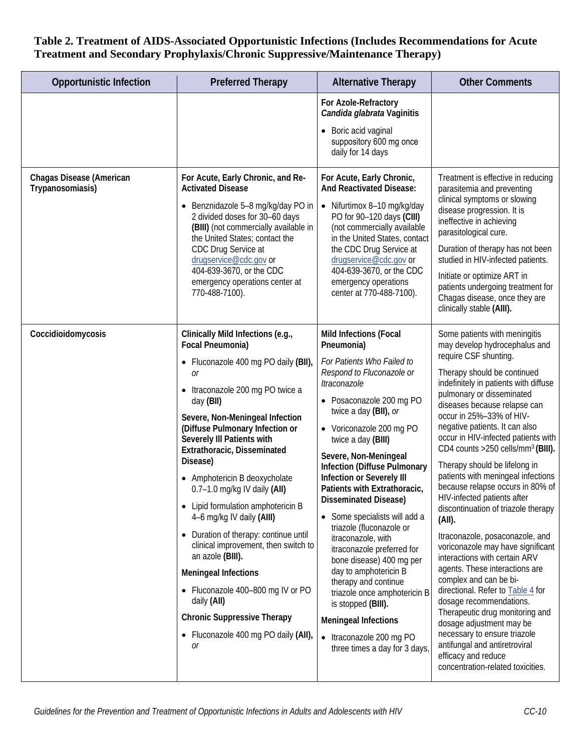| <b>Opportunistic Infection</b>               | <b>Preferred Therapy</b>                                                                                                                                                                                                                                                                                                                                                                                                                                                                                                                                                                                                                                                                                            | <b>Alternative Therapy</b>                                                                                                                                                                                                                                                                                                                                                                                                                                                                                                                                                                                                                                                                                                   | <b>Other Comments</b>                                                                                                                                                                                                                                                                                                                                                                                                                                                                                                                                                                                                                                                                                                                                                                                                                                                                                                                                                                                          |
|----------------------------------------------|---------------------------------------------------------------------------------------------------------------------------------------------------------------------------------------------------------------------------------------------------------------------------------------------------------------------------------------------------------------------------------------------------------------------------------------------------------------------------------------------------------------------------------------------------------------------------------------------------------------------------------------------------------------------------------------------------------------------|------------------------------------------------------------------------------------------------------------------------------------------------------------------------------------------------------------------------------------------------------------------------------------------------------------------------------------------------------------------------------------------------------------------------------------------------------------------------------------------------------------------------------------------------------------------------------------------------------------------------------------------------------------------------------------------------------------------------------|----------------------------------------------------------------------------------------------------------------------------------------------------------------------------------------------------------------------------------------------------------------------------------------------------------------------------------------------------------------------------------------------------------------------------------------------------------------------------------------------------------------------------------------------------------------------------------------------------------------------------------------------------------------------------------------------------------------------------------------------------------------------------------------------------------------------------------------------------------------------------------------------------------------------------------------------------------------------------------------------------------------|
|                                              |                                                                                                                                                                                                                                                                                                                                                                                                                                                                                                                                                                                                                                                                                                                     | For Azole-Refractory<br>Candida glabrata Vaginitis<br>• Boric acid vaginal<br>suppository 600 mg once<br>daily for 14 days                                                                                                                                                                                                                                                                                                                                                                                                                                                                                                                                                                                                   |                                                                                                                                                                                                                                                                                                                                                                                                                                                                                                                                                                                                                                                                                                                                                                                                                                                                                                                                                                                                                |
| Chagas Disease (American<br>Trypanosomiasis) | For Acute, Early Chronic, and Re-<br><b>Activated Disease</b><br>• Benznidazole 5-8 mg/kg/day PO in<br>2 divided doses for 30-60 days<br>(BIII) (not commercially available in<br>the United States; contact the<br>CDC Drug Service at<br>drugservice@cdc.gov or<br>404-639-3670, or the CDC<br>emergency operations center at<br>770-488-7100).                                                                                                                                                                                                                                                                                                                                                                   | For Acute, Early Chronic,<br>And Reactivated Disease:<br>• Nifurtimox 8-10 mg/kg/day<br>PO for 90-120 days (CIII)<br>(not commercially available<br>in the United States, contact<br>the CDC Drug Service at<br>drugservice@cdc.gov or<br>404-639-3670, or the CDC<br>emergency operations<br>center at 770-488-7100).                                                                                                                                                                                                                                                                                                                                                                                                       | Treatment is effective in reducing<br>parasitemia and preventing<br>clinical symptoms or slowing<br>disease progression. It is<br>ineffective in achieving<br>parasitological cure.<br>Duration of therapy has not been<br>studied in HIV-infected patients.<br>Initiate or optimize ART in<br>patients undergoing treatment for<br>Chagas disease, once they are<br>clinically stable (AIII).                                                                                                                                                                                                                                                                                                                                                                                                                                                                                                                                                                                                                 |
| Coccidioidomycosis                           | Clinically Mild Infections (e.g.,<br>Focal Pneumonia)<br>Fluconazole 400 mg PO daily (BII),<br>0r<br>• Itraconazole 200 mg PO twice a<br>day (BII)<br>Severe, Non-Meningeal Infection<br>(Diffuse Pulmonary Infection or<br>Severely III Patients with<br>Extrathoracic, Disseminated<br>Disease)<br>• Amphotericin B deoxycholate<br>$0.7-1.0$ mg/kg IV daily (AII)<br>• Lipid formulation amphotericin B<br>4-6 mg/kg IV daily (AIII)<br>• Duration of therapy: continue until<br>clinical improvement, then switch to<br>an azole (BIII).<br><b>Meningeal Infections</b><br>• Fluconazole 400-800 mg IV or PO<br>daily (All)<br><b>Chronic Suppressive Therapy</b><br>• Fluconazole 400 mg PO daily (AII),<br>0r | Mild Infections (Focal<br>Pneumonia)<br>For Patients Who Failed to<br>Respond to Fluconazole or<br>Itraconazole<br>• Posaconazole 200 mg PO<br>twice a day (BII), or<br>• Voriconazole 200 mg PO<br>twice a day (BIII)<br>Severe, Non-Meningeal<br><b>Infection (Diffuse Pulmonary</b><br>Infection or Severely III<br>Patients with Extrathoracic,<br>Disseminated Disease)<br>• Some specialists will add a<br>triazole (fluconazole or<br>itraconazole, with<br>itraconazole preferred for<br>bone disease) 400 mg per<br>day to amphotericin B<br>therapy and continue<br>triazole once amphotericin B<br>is stopped (BIII).<br><b>Meningeal Infections</b><br>• Itraconazole 200 mg PO<br>three times a day for 3 days, | Some patients with meningitis<br>may develop hydrocephalus and<br>require CSF shunting.<br>Therapy should be continued<br>indefinitely in patients with diffuse<br>pulmonary or disseminated<br>diseases because relapse can<br>occur in 25%-33% of HIV-<br>negative patients. It can also<br>occur in HIV-infected patients with<br>CD4 counts >250 cells/mm <sup>3</sup> (BIII).<br>Therapy should be lifelong in<br>patients with meningeal infections<br>because relapse occurs in 80% of<br>HIV-infected patients after<br>discontinuation of triazole therapy<br>(AII).<br>Itraconazole, posaconazole, and<br>voriconazole may have significant<br>interactions with certain ARV<br>agents. These interactions are<br>complex and can be bi-<br>directional. Refer to Table 4 for<br>dosage recommendations.<br>Therapeutic drug monitoring and<br>dosage adjustment may be<br>necessary to ensure triazole<br>antifungal and antiretroviral<br>efficacy and reduce<br>concentration-related toxicities. |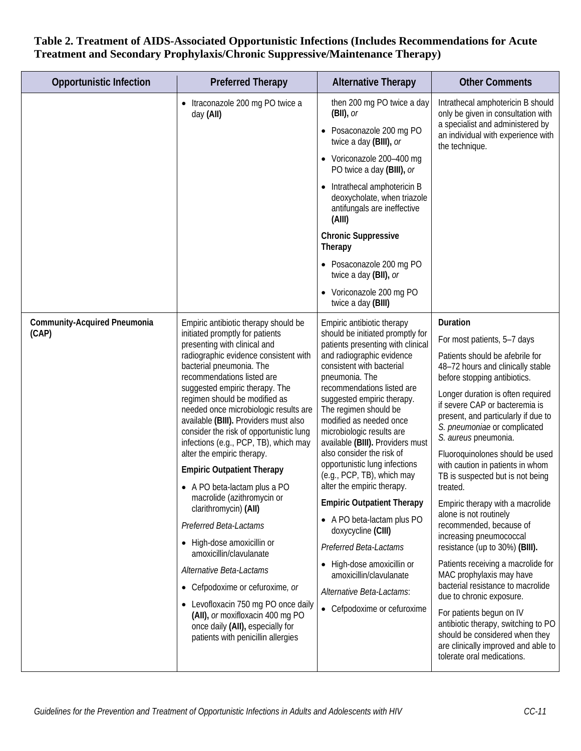| <b>Opportunistic Infection</b>               | <b>Preferred Therapy</b>                                                                                                                                                                                                                                                                                                                                                                                                                                                                                                                                                                                                                                                                                                                                                                                                                                                                                         | <b>Alternative Therapy</b>                                                                                                                                                                                                                                                                                                                                                                                                                                                                                                                                                                                                                                                                                                       | <b>Other Comments</b>                                                                                                                                                                                                                                                                                                                                                                                                                                                                                                                                                                                                                                                                                                                                                                                                                                                                                           |
|----------------------------------------------|------------------------------------------------------------------------------------------------------------------------------------------------------------------------------------------------------------------------------------------------------------------------------------------------------------------------------------------------------------------------------------------------------------------------------------------------------------------------------------------------------------------------------------------------------------------------------------------------------------------------------------------------------------------------------------------------------------------------------------------------------------------------------------------------------------------------------------------------------------------------------------------------------------------|----------------------------------------------------------------------------------------------------------------------------------------------------------------------------------------------------------------------------------------------------------------------------------------------------------------------------------------------------------------------------------------------------------------------------------------------------------------------------------------------------------------------------------------------------------------------------------------------------------------------------------------------------------------------------------------------------------------------------------|-----------------------------------------------------------------------------------------------------------------------------------------------------------------------------------------------------------------------------------------------------------------------------------------------------------------------------------------------------------------------------------------------------------------------------------------------------------------------------------------------------------------------------------------------------------------------------------------------------------------------------------------------------------------------------------------------------------------------------------------------------------------------------------------------------------------------------------------------------------------------------------------------------------------|
|                                              | Itraconazole 200 mg PO twice a<br>day (All)                                                                                                                                                                                                                                                                                                                                                                                                                                                                                                                                                                                                                                                                                                                                                                                                                                                                      | then 200 mg PO twice a day<br>$(BII)$ , or<br>• Posaconazole 200 mg PO<br>twice a day (BIII), or<br>Voriconazole 200-400 mg<br>PO twice a day (BIII), or<br>• Intrathecal amphotericin B<br>deoxycholate, when triazole<br>antifungals are ineffective<br>(AIII)<br><b>Chronic Suppressive</b><br>Therapy<br>• Posaconazole 200 mg PO<br>twice a day (BII), or<br>• Voriconazole 200 mg PO<br>twice a day (BIII)                                                                                                                                                                                                                                                                                                                 | Intrathecal amphotericin B should<br>only be given in consultation with<br>a specialist and administered by<br>an individual with experience with<br>the technique.                                                                                                                                                                                                                                                                                                                                                                                                                                                                                                                                                                                                                                                                                                                                             |
| <b>Community-Acquired Pneumonia</b><br>(CAP) | Empiric antibiotic therapy should be<br>initiated promptly for patients<br>presenting with clinical and<br>radiographic evidence consistent with<br>bacterial pneumonia. The<br>recommendations listed are<br>suggested empiric therapy. The<br>regimen should be modified as<br>needed once microbiologic results are<br>available (BIII). Providers must also<br>consider the risk of opportunistic lung<br>infections (e.g., PCP, TB), which may<br>alter the empiric therapy.<br><b>Empiric Outpatient Therapy</b><br>• A PO beta-lactam plus a PO<br>macrolide (azithromycin or<br>clarithromycin) (AII)<br>Preferred Beta-Lactams<br>High-dose amoxicillin or<br>amoxicillin/clavulanate<br>Alternative Beta-Lactams<br>• Cefpodoxime or cefuroxime, or<br>Levofloxacin 750 mg PO once daily<br>(AII), or moxifloxacin 400 mg PO<br>once daily (AII), especially for<br>patients with penicillin allergies | Empiric antibiotic therapy<br>should be initiated promptly for<br>patients presenting with clinical<br>and radiographic evidence<br>consistent with bacterial<br>pneumonia. The<br>recommendations listed are<br>suggested empiric therapy.<br>The regimen should be<br>modified as needed once<br>microbiologic results are<br>available (BIII). Providers must<br>also consider the risk of<br>opportunistic lung infections<br>(e.g., PCP, TB), which may<br>alter the empiric therapy.<br><b>Empiric Outpatient Therapy</b><br>• A PO beta-lactam plus PO<br>doxycycline (CIII)<br>Preferred Beta-Lactams<br>High-dose amoxicillin or<br>amoxicillin/clavulanate<br>Alternative Beta-Lactams:<br>• Cefpodoxime or cefuroxime | Duration<br>For most patients, 5-7 days<br>Patients should be afebrile for<br>48-72 hours and clinically stable<br>before stopping antibiotics.<br>Longer duration is often required<br>if severe CAP or bacteremia is<br>present, and particularly if due to<br>S. pneumoniae or complicated<br>S. aureus pneumonia.<br>Fluoroquinolones should be used<br>with caution in patients in whom<br>TB is suspected but is not being<br>treated.<br>Empiric therapy with a macrolide<br>alone is not routinely<br>recommended, because of<br>increasing pneumococcal<br>resistance (up to 30%) (BIII).<br>Patients receiving a macrolide for<br>MAC prophylaxis may have<br>bacterial resistance to macrolide<br>due to chronic exposure.<br>For patients begun on IV<br>antibiotic therapy, switching to PO<br>should be considered when they<br>are clinically improved and able to<br>tolerate oral medications. |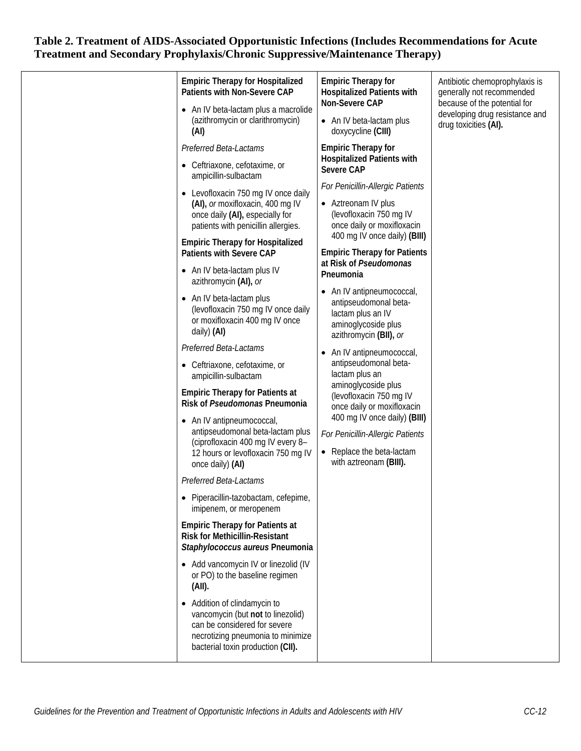|  | <b>Empiric Therapy for Hospitalized</b><br>Patients with Non-Severe CAP<br>• An IV beta-lactam plus a macrolide<br>(azithromycin or clarithromycin)<br>(AI)<br>Preferred Beta-Lactams<br>• Ceftriaxone, cefotaxime, or<br>ampicillin-sulbactam<br>• Levofloxacin 750 mg IV once daily<br>(AI), or moxifloxacin, 400 mg IV<br>once daily (AI), especially for<br>patients with penicillin allergies.<br><b>Empiric Therapy for Hospitalized</b><br><b>Patients with Severe CAP</b><br>• An IV beta-lactam plus IV<br>azithromycin (AI), or<br>• An IV beta-lactam plus<br>(levofloxacin 750 mg IV once daily<br>or moxifloxacin 400 mg IV once<br>daily) (AI)<br>Preferred Beta-Lactams<br>• Ceftriaxone, cefotaxime, or<br>ampicillin-sulbactam<br><b>Empiric Therapy for Patients at</b><br>Risk of Pseudomonas Pneumonia<br>• An IV antipneumococcal,<br>antipseudomonal beta-lactam plus<br>(ciprofloxacin 400 mg IV every 8-<br>12 hours or levofloxacin 750 mg IV<br>once daily) (AI)<br>Preferred Beta-Lactams<br>· Piperacillin-tazobactam, cefepime,<br>imipenem, or meropenem<br><b>Empiric Therapy for Patients at</b><br><b>Risk for Methicillin-Resistant</b><br>Staphylococcus aureus Pneumonia<br>• Add vancomycin IV or linezolid (IV<br>or PO) to the baseline regimen<br>(AII).<br>• Addition of clindamycin to<br>vancomycin (but not to linezolid)<br>can be considered for severe<br>necrotizing pneumonia to minimize<br>bacterial toxin production (CII). | <b>Empiric Therapy for</b><br><b>Hospitalized Patients with</b><br>Non-Severe CAP<br>• An IV beta-lactam plus<br>doxycycline (CIII)<br><b>Empiric Therapy for</b><br><b>Hospitalized Patients with</b><br>Severe CAP<br>For Penicillin-Allergic Patients<br>• Aztreonam IV plus<br>(levofloxacin 750 mg IV<br>once daily or moxifloxacin<br>400 mg IV once daily) (BIII)<br><b>Empiric Therapy for Patients</b><br>at Risk of Pseudomonas<br>Pneumonia<br>• An IV antipneumococcal,<br>antipseudomonal beta-<br>lactam plus an IV<br>aminoglycoside plus<br>azithromycin (BII), or<br>• An IV antipneumococcal,<br>antipseudomonal beta-<br>lactam plus an<br>aminoglycoside plus<br>(levofloxacin 750 mg IV<br>once daily or moxifloxacin<br>400 mg IV once daily) (BIII)<br>For Penicillin-Allergic Patients<br>• Replace the beta-lactam<br>with aztreonam (BIII). | Antibiotic chemoprophylaxis is<br>generally not recommended<br>because of the potential for<br>developing drug resistance and<br>drug toxicities (AI). |
|--|---------------------------------------------------------------------------------------------------------------------------------------------------------------------------------------------------------------------------------------------------------------------------------------------------------------------------------------------------------------------------------------------------------------------------------------------------------------------------------------------------------------------------------------------------------------------------------------------------------------------------------------------------------------------------------------------------------------------------------------------------------------------------------------------------------------------------------------------------------------------------------------------------------------------------------------------------------------------------------------------------------------------------------------------------------------------------------------------------------------------------------------------------------------------------------------------------------------------------------------------------------------------------------------------------------------------------------------------------------------------------------------------------------------------------------------------------------------------------------|-----------------------------------------------------------------------------------------------------------------------------------------------------------------------------------------------------------------------------------------------------------------------------------------------------------------------------------------------------------------------------------------------------------------------------------------------------------------------------------------------------------------------------------------------------------------------------------------------------------------------------------------------------------------------------------------------------------------------------------------------------------------------------------------------------------------------------------------------------------------------|--------------------------------------------------------------------------------------------------------------------------------------------------------|
|--|---------------------------------------------------------------------------------------------------------------------------------------------------------------------------------------------------------------------------------------------------------------------------------------------------------------------------------------------------------------------------------------------------------------------------------------------------------------------------------------------------------------------------------------------------------------------------------------------------------------------------------------------------------------------------------------------------------------------------------------------------------------------------------------------------------------------------------------------------------------------------------------------------------------------------------------------------------------------------------------------------------------------------------------------------------------------------------------------------------------------------------------------------------------------------------------------------------------------------------------------------------------------------------------------------------------------------------------------------------------------------------------------------------------------------------------------------------------------------------|-----------------------------------------------------------------------------------------------------------------------------------------------------------------------------------------------------------------------------------------------------------------------------------------------------------------------------------------------------------------------------------------------------------------------------------------------------------------------------------------------------------------------------------------------------------------------------------------------------------------------------------------------------------------------------------------------------------------------------------------------------------------------------------------------------------------------------------------------------------------------|--------------------------------------------------------------------------------------------------------------------------------------------------------|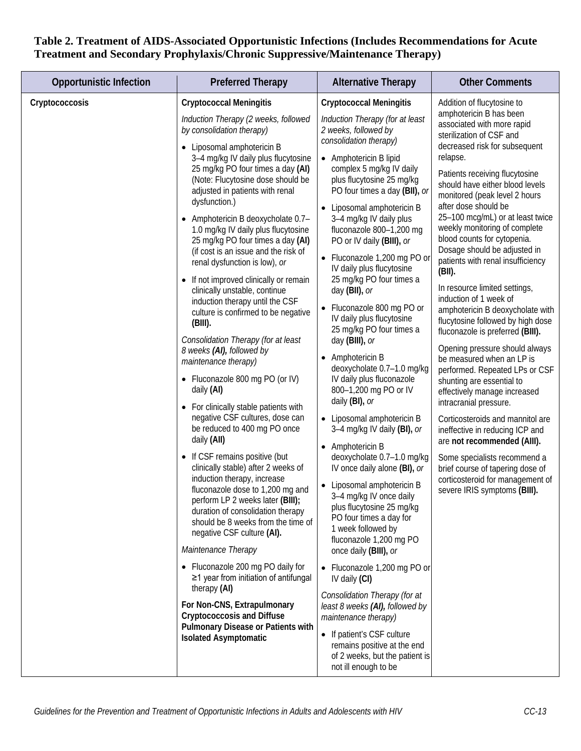| <b>Opportunistic Infection</b> | <b>Preferred Therapy</b>                                                                                                                                                                                                                                                                                                                                                                                                                                                                                                                                                                                                                                                                                                                                                                                                                                                                                                                                                                                                                                                                                                                                                                                                                                                                                                                                                                                                                                                                              | <b>Alternative Therapy</b>                                                                                                                                                                                                                                                                                                                                                                                                                                                                                                                                                                                                                                                                                                                                                                                                                                                                                                                                                                                                                                                                                                                                                                                                                                                                                           | <b>Other Comments</b>                                                                                                                                                                                                                                                                                                                                                                                                                                                                                                                                                                                                                                                                                                                                                                                                                                                                                                                                                                                                                                                                       |
|--------------------------------|-------------------------------------------------------------------------------------------------------------------------------------------------------------------------------------------------------------------------------------------------------------------------------------------------------------------------------------------------------------------------------------------------------------------------------------------------------------------------------------------------------------------------------------------------------------------------------------------------------------------------------------------------------------------------------------------------------------------------------------------------------------------------------------------------------------------------------------------------------------------------------------------------------------------------------------------------------------------------------------------------------------------------------------------------------------------------------------------------------------------------------------------------------------------------------------------------------------------------------------------------------------------------------------------------------------------------------------------------------------------------------------------------------------------------------------------------------------------------------------------------------|----------------------------------------------------------------------------------------------------------------------------------------------------------------------------------------------------------------------------------------------------------------------------------------------------------------------------------------------------------------------------------------------------------------------------------------------------------------------------------------------------------------------------------------------------------------------------------------------------------------------------------------------------------------------------------------------------------------------------------------------------------------------------------------------------------------------------------------------------------------------------------------------------------------------------------------------------------------------------------------------------------------------------------------------------------------------------------------------------------------------------------------------------------------------------------------------------------------------------------------------------------------------------------------------------------------------|---------------------------------------------------------------------------------------------------------------------------------------------------------------------------------------------------------------------------------------------------------------------------------------------------------------------------------------------------------------------------------------------------------------------------------------------------------------------------------------------------------------------------------------------------------------------------------------------------------------------------------------------------------------------------------------------------------------------------------------------------------------------------------------------------------------------------------------------------------------------------------------------------------------------------------------------------------------------------------------------------------------------------------------------------------------------------------------------|
| Cryptococcosis                 | <b>Cryptococcal Meningitis</b><br>Induction Therapy (2 weeks, followed<br>by consolidation therapy)<br>Liposomal amphotericin B<br>3-4 mg/kg IV daily plus flucytosine<br>25 mg/kg PO four times a day (AI)<br>(Note: Flucytosine dose should be<br>adjusted in patients with renal<br>dysfunction.)<br>Amphotericin B deoxycholate 0.7-<br>٠<br>1.0 mg/kg IV daily plus flucytosine<br>25 mg/kg PO four times a day (AI)<br>(if cost is an issue and the risk of<br>renal dysfunction is low), or<br>If not improved clinically or remain<br>clinically unstable, continue<br>induction therapy until the CSF<br>culture is confirmed to be negative<br>$(BIII)$ .<br>Consolidation Therapy (for at least<br>8 weeks (AI), followed by<br>maintenance therapy)<br>• Fluconazole 800 mg PO (or IV)<br>daily (AI)<br>For clinically stable patients with<br>negative CSF cultures, dose can<br>be reduced to 400 mg PO once<br>daily (AII)<br>If CSF remains positive (but<br>clinically stable) after 2 weeks of<br>induction therapy, increase<br>fluconazole dose to 1,200 mg and<br>perform LP 2 weeks later (BIII);<br>duration of consolidation therapy<br>should be 8 weeks from the time of<br>negative CSF culture (AI).<br>Maintenance Therapy<br>• Fluconazole 200 mg PO daily for<br>$\geq$ 1 year from initiation of antifungal<br>therapy (AI)<br>For Non-CNS, Extrapulmonary<br><b>Cryptococcosis and Diffuse</b><br>Pulmonary Disease or Patients with<br><b>Isolated Asymptomatic</b> | <b>Cryptococcal Meningitis</b><br>Induction Therapy (for at least<br>2 weeks, followed by<br>consolidation therapy)<br>• Amphotericin B lipid<br>complex 5 mg/kg IV daily<br>plus flucytosine 25 mg/kg<br>PO four times a day (BII), or<br>• Liposomal amphotericin B<br>3-4 mg/kg IV daily plus<br>fluconazole 800-1,200 mg<br>PO or IV daily (BIII), or<br>• Fluconazole 1,200 mg PO or<br>IV daily plus flucytosine<br>25 mg/kg PO four times a<br>day (BII), or<br>• Fluconazole 800 mg PO or<br>IV daily plus flucytosine<br>25 mg/kg PO four times a<br>day (BIII), or<br>• Amphotericin B<br>deoxycholate 0.7-1.0 mg/kg<br>IV daily plus fluconazole<br>800-1,200 mg PO or IV<br>daily (BI), or<br>• Liposomal amphotericin B<br>3-4 mg/kg IV daily (BI), or<br>• Amphotericin B<br>deoxycholate 0.7-1.0 mg/kg<br>IV once daily alone (BI), or<br>• Liposomal amphotericin B<br>3-4 mg/kg IV once daily<br>plus flucytosine 25 mg/kg<br>PO four times a day for<br>1 week followed by<br>fluconazole 1,200 mg PO<br>once daily (BIII), or<br>• Fluconazole 1,200 mg PO or<br>IV daily (CI)<br>Consolidation Therapy (for at<br>least 8 weeks (AI), followed by<br>maintenance therapy)<br>• If patient's CSF culture<br>remains positive at the end<br>of 2 weeks, but the patient is<br>not ill enough to be | Addition of flucytosine to<br>amphotericin B has been<br>associated with more rapid<br>sterilization of CSF and<br>decreased risk for subsequent<br>relapse.<br>Patients receiving flucytosine<br>should have either blood levels<br>monitored (peak level 2 hours<br>after dose should be<br>25-100 mcg/mL) or at least twice<br>weekly monitoring of complete<br>blood counts for cytopenia.<br>Dosage should be adjusted in<br>patients with renal insufficiency<br>(BII).<br>In resource limited settings,<br>induction of 1 week of<br>amphotericin B deoxycholate with<br>flucytosine followed by high dose<br>fluconazole is preferred (BIII).<br>Opening pressure should always<br>be measured when an LP is<br>performed. Repeated LPs or CSF<br>shunting are essential to<br>effectively manage increased<br>intracranial pressure.<br>Corticosteroids and mannitol are<br>ineffective in reducing ICP and<br>are not recommended (AIII).<br>Some specialists recommend a<br>brief course of tapering dose of<br>corticosteroid for management of<br>severe IRIS symptoms (BIII). |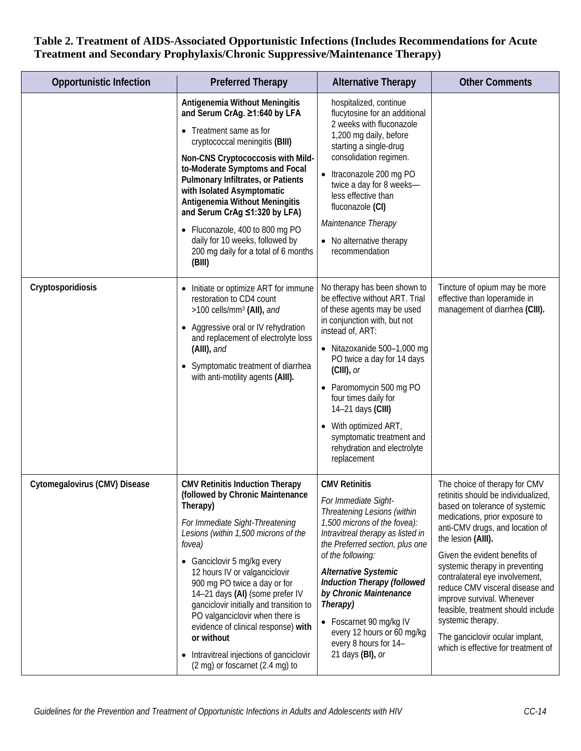| <b>Opportunistic Infection</b> | <b>Preferred Therapy</b>                                                                                                                                                                                                                                                                                                                                                                                                                                                                                                       | <b>Alternative Therapy</b>                                                                                                                                                                                                                                                                                                                                                                                                | <b>Other Comments</b>                                                                                                                                                                                                                                                                                                                                                                                                                                                                                        |
|--------------------------------|--------------------------------------------------------------------------------------------------------------------------------------------------------------------------------------------------------------------------------------------------------------------------------------------------------------------------------------------------------------------------------------------------------------------------------------------------------------------------------------------------------------------------------|---------------------------------------------------------------------------------------------------------------------------------------------------------------------------------------------------------------------------------------------------------------------------------------------------------------------------------------------------------------------------------------------------------------------------|--------------------------------------------------------------------------------------------------------------------------------------------------------------------------------------------------------------------------------------------------------------------------------------------------------------------------------------------------------------------------------------------------------------------------------------------------------------------------------------------------------------|
|                                | Antigenemia Without Meningitis<br>and Serum CrAg. ≥1:640 by LFA<br>• Treatment same as for<br>cryptococcal meningitis (BIII)<br>Non-CNS Cryptococcosis with Mild-<br>to-Moderate Symptoms and Focal<br>Pulmonary Infiltrates, or Patients<br>with Isolated Asymptomatic<br>Antigenemia Without Meningitis<br>and Serum CrAg ≤1:320 by LFA)<br>• Fluconazole, 400 to 800 mg PO<br>daily for 10 weeks, followed by<br>200 mg daily for a total of 6 months<br>(BIII)                                                             | hospitalized, continue<br>flucytosine for an additional<br>2 weeks with fluconazole<br>1,200 mg daily, before<br>starting a single-drug<br>consolidation regimen.<br>• Itraconazole 200 mg PO<br>twice a day for 8 weeks-<br>less effective than<br>fluconazole (CI)<br>Maintenance Therapy<br>• No alternative therapy<br>recommendation                                                                                 |                                                                                                                                                                                                                                                                                                                                                                                                                                                                                                              |
| Cryptosporidiosis              | Initiate or optimize ART for immune<br>restoration to CD4 count<br>>100 cells/mm <sup>3</sup> (AII), and<br>Aggressive oral or IV rehydration<br>and replacement of electrolyte loss<br>(AIII), and<br>Symptomatic treatment of diarrhea<br>with anti-motility agents (AIII).                                                                                                                                                                                                                                                  | No therapy has been shown to<br>be effective without ART. Trial<br>of these agents may be used<br>in conjunction with, but not<br>instead of, ART:<br>• Nitazoxanide 500-1,000 mg<br>PO twice a day for 14 days<br>$(ClII)$ , or<br>• Paromomycin 500 mg PO<br>four times daily for<br>14-21 days (CIII)<br>With optimized ART,<br>$\bullet$<br>symptomatic treatment and<br>rehydration and electrolyte<br>replacement   | Tincture of opium may be more<br>effective than loperamide in<br>management of diarrhea (CIII).                                                                                                                                                                                                                                                                                                                                                                                                              |
| Cytomegalovirus (CMV) Disease  | <b>CMV Retinitis Induction Therapy</b><br>(followed by Chronic Maintenance<br>Therapy)<br>For Immediate Sight-Threatening<br>Lesions (within 1,500 microns of the<br>fovea)<br>• Ganciclovir 5 mg/kg every<br>12 hours IV or valganciclovir<br>900 mg PO twice a day or for<br>14-21 days (AI) (some prefer IV<br>ganciclovir initially and transition to<br>PO valganciclovir when there is<br>evidence of clinical response) with<br>or without<br>Intravitreal injections of ganciclovir<br>(2 mg) or foscarnet (2.4 mg) to | <b>CMV Retinitis</b><br>For Immediate Sight-<br>Threatening Lesions (within<br>1,500 microns of the fovea):<br>Intravitreal therapy as listed in<br>the Preferred section, plus one<br>of the following:<br><b>Alternative Systemic</b><br><b>Induction Therapy (followed</b><br>by Chronic Maintenance<br>Therapy)<br>• Foscarnet 90 mg/kg IV<br>every 12 hours or 60 mg/kg<br>every 8 hours for 14-<br>21 days (BI), or | The choice of therapy for CMV<br>retinitis should be individualized,<br>based on tolerance of systemic<br>medications, prior exposure to<br>anti-CMV drugs, and location of<br>the lesion (AIII).<br>Given the evident benefits of<br>systemic therapy in preventing<br>contralateral eye involvement,<br>reduce CMV visceral disease and<br>improve survival. Whenever<br>feasible, treatment should include<br>systemic therapy.<br>The ganciclovir ocular implant,<br>which is effective for treatment of |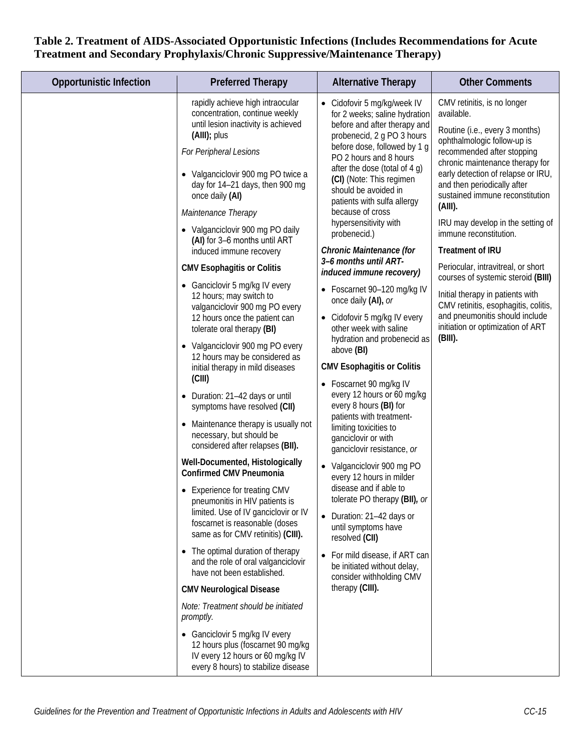| rapidly achieve high intraocular<br>CMV retinitis, is no longer<br>• Cidofovir 5 mg/kg/week IV<br>concentration, continue weekly<br>available.<br>for 2 weeks; saline hydration<br>until lesion inactivity is achieved<br>before and after therapy and<br>Routine (i.e., every 3 months)<br>(AIII); plus<br>probenecid, 2 g PO 3 hours<br>ophthalmologic follow-up is<br>before dose, followed by 1 g<br>For Peripheral Lesions<br>recommended after stopping<br>PO 2 hours and 8 hours<br>chronic maintenance therapy for<br>after the dose (total of 4 g)<br>early detection of relapse or IRU,<br>• Valganciclovir 900 mg PO twice a<br>(CI) (Note: This regimen<br>and then periodically after<br>day for 14-21 days, then 900 mg<br>should be avoided in<br>sustained immune reconstitution<br>once daily (AI)<br>patients with sulfa allergy<br>(AIII).<br>because of cross<br>Maintenance Therapy<br>hypersensitivity with<br>IRU may develop in the setting of<br>• Valganciclovir 900 mg PO daily<br>immune reconstitution.<br>probenecid.)<br>(AI) for 3-6 months until ART<br>Chronic Maintenance (for<br><b>Treatment of IRU</b><br>induced immune recovery<br>3-6 months until ART-<br>Periocular, intravitreal, or short<br><b>CMV Esophagitis or Colitis</b><br>induced immune recovery)<br>courses of systemic steroid (BIII)<br>• Ganciclovir 5 mg/kg IV every<br>• Foscarnet 90-120 mg/kg IV<br>Initial therapy in patients with<br>12 hours; may switch to<br>once daily (AI), or<br>CMV retinitis, esophagitis, colitis,<br>valganciclovir 900 mg PO every<br>and pneumonitis should include<br>12 hours once the patient can<br>• Cidofovir 5 mg/kg IV every<br>initiation or optimization of ART<br>other week with saline<br>tolerate oral therapy (BI)<br>$(BIII)$ .<br>hydration and probenecid as<br>• Valganciclovir 900 mg PO every<br>above (BI)<br>12 hours may be considered as<br><b>CMV Esophagitis or Colitis</b><br>initial therapy in mild diseases<br>(CIII)<br>Foscarnet 90 mg/kg IV<br>$\bullet$<br>every 12 hours or 60 mg/kg<br>Duration: 21-42 days or until<br>every 8 hours (BI) for<br>symptoms have resolved (CII)<br>patients with treatment-<br>Maintenance therapy is usually not<br>$\bullet$<br>limiting toxicities to<br>necessary, but should be<br>ganciclovir or with<br>considered after relapses (BII).<br>ganciclovir resistance, or<br>Well-Documented, Histologically<br>• Valganciclovir 900 mg PO<br><b>Confirmed CMV Pneumonia</b><br>every 12 hours in milder<br>disease and if able to<br>• Experience for treating CMV<br>tolerate PO therapy (BII), or<br>pneumonitis in HIV patients is<br>limited. Use of IV ganciclovir or IV<br>• Duration: 21-42 days or<br>foscarnet is reasonable (doses<br>until symptoms have<br>same as for CMV retinitis) (CIII).<br>resolved (CII)<br>• The optimal duration of therapy<br>• For mild disease, if ART can<br>and the role of oral valganciclovir<br>be initiated without delay,<br>have not been established.<br>consider withholding CMV<br>therapy (CIII).<br><b>CMV Neurological Disease</b><br>Note: Treatment should be initiated<br>promptly.<br>• Ganciclovir 5 mg/kg IV every<br>12 hours plus (foscarnet 90 mg/kg<br>IV every 12 hours or 60 mg/kg IV<br>every 8 hours) to stabilize disease | <b>Opportunistic Infection</b> | <b>Preferred Therapy</b> | <b>Alternative Therapy</b> | <b>Other Comments</b> |
|----------------------------------------------------------------------------------------------------------------------------------------------------------------------------------------------------------------------------------------------------------------------------------------------------------------------------------------------------------------------------------------------------------------------------------------------------------------------------------------------------------------------------------------------------------------------------------------------------------------------------------------------------------------------------------------------------------------------------------------------------------------------------------------------------------------------------------------------------------------------------------------------------------------------------------------------------------------------------------------------------------------------------------------------------------------------------------------------------------------------------------------------------------------------------------------------------------------------------------------------------------------------------------------------------------------------------------------------------------------------------------------------------------------------------------------------------------------------------------------------------------------------------------------------------------------------------------------------------------------------------------------------------------------------------------------------------------------------------------------------------------------------------------------------------------------------------------------------------------------------------------------------------------------------------------------------------------------------------------------------------------------------------------------------------------------------------------------------------------------------------------------------------------------------------------------------------------------------------------------------------------------------------------------------------------------------------------------------------------------------------------------------------------------------------------------------------------------------------------------------------------------------------------------------------------------------------------------------------------------------------------------------------------------------------------------------------------------------------------------------------------------------------------------------------------------------------------------------------------------------------------------------------------------------------------------------------------------------------------------------------------------------------------------------------------------------------------------------------------------------------------------------------------------------------------------------------------------------------------------------------------------------------------------------------------------------|--------------------------------|--------------------------|----------------------------|-----------------------|
|                                                                                                                                                                                                                                                                                                                                                                                                                                                                                                                                                                                                                                                                                                                                                                                                                                                                                                                                                                                                                                                                                                                                                                                                                                                                                                                                                                                                                                                                                                                                                                                                                                                                                                                                                                                                                                                                                                                                                                                                                                                                                                                                                                                                                                                                                                                                                                                                                                                                                                                                                                                                                                                                                                                                                                                                                                                                                                                                                                                                                                                                                                                                                                                                                                                                                                                      |                                |                          |                            |                       |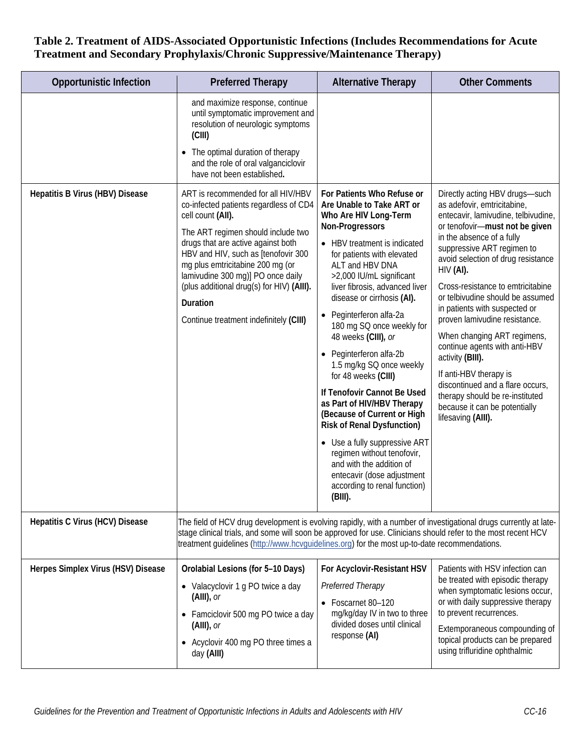| <b>Opportunistic Infection</b>     | <b>Preferred Therapy</b>                                                                                                                                                                                                                                                                                                                                                                         | <b>Alternative Therapy</b>                                                                                                                                                                                                                                                                                                                                                                                                                                                                                                                                                                                                                                                                                                                         | <b>Other Comments</b>                                                                                                                                                                                                                                                                                                                                                                                                                                                                                                                                                                                                                         |  |
|------------------------------------|--------------------------------------------------------------------------------------------------------------------------------------------------------------------------------------------------------------------------------------------------------------------------------------------------------------------------------------------------------------------------------------------------|----------------------------------------------------------------------------------------------------------------------------------------------------------------------------------------------------------------------------------------------------------------------------------------------------------------------------------------------------------------------------------------------------------------------------------------------------------------------------------------------------------------------------------------------------------------------------------------------------------------------------------------------------------------------------------------------------------------------------------------------------|-----------------------------------------------------------------------------------------------------------------------------------------------------------------------------------------------------------------------------------------------------------------------------------------------------------------------------------------------------------------------------------------------------------------------------------------------------------------------------------------------------------------------------------------------------------------------------------------------------------------------------------------------|--|
|                                    | and maximize response, continue<br>until symptomatic improvement and<br>resolution of neurologic symptoms<br>(CIII)<br>• The optimal duration of therapy<br>and the role of oral valganciclovir<br>have not been established.                                                                                                                                                                    |                                                                                                                                                                                                                                                                                                                                                                                                                                                                                                                                                                                                                                                                                                                                                    |                                                                                                                                                                                                                                                                                                                                                                                                                                                                                                                                                                                                                                               |  |
| Hepatitis B Virus (HBV) Disease    | ART is recommended for all HIV/HBV<br>co-infected patients regardless of CD4<br>cell count (AII).<br>The ART regimen should include two<br>drugs that are active against both<br>HBV and HIV, such as [tenofovir 300<br>mg plus emtricitabine 200 mg (or<br>lamivudine 300 mg)] PO once daily<br>(plus additional drug(s) for HIV) (AIII).<br>Duration<br>Continue treatment indefinitely (CIII) | For Patients Who Refuse or<br>Are Unable to Take ART or<br>Who Are HIV Long-Term<br>Non-Progressors<br>• HBV treatment is indicated<br>for patients with elevated<br>ALT and HBV DNA<br>>2,000 IU/mL significant<br>liver fibrosis, advanced liver<br>disease or cirrhosis (AI).<br>• Peginterferon alfa-2a<br>180 mg SQ once weekly for<br>48 weeks (CIII), or<br>• Peginterferon alfa-2b<br>1.5 mg/kg SQ once weekly<br>for 48 weeks (CIII)<br>If Tenofovir Cannot Be Used<br>as Part of HIV/HBV Therapy<br>(Because of Current or High<br><b>Risk of Renal Dysfunction)</b><br>• Use a fully suppressive ART<br>regimen without tenofovir,<br>and with the addition of<br>entecavir (dose adjustment<br>according to renal function)<br>(BIII). | Directly acting HBV drugs-such<br>as adefovir, emtricitabine,<br>entecavir, lamivudine, telbivudine,<br>or tenofovir-must not be given<br>in the absence of a fully<br>suppressive ART regimen to<br>avoid selection of drug resistance<br>$HIV$ (AI).<br>Cross-resistance to emtricitabine<br>or telbivudine should be assumed<br>in patients with suspected or<br>proven lamivudine resistance.<br>When changing ART regimens,<br>continue agents with anti-HBV<br>activity (BIII).<br>If anti-HBV therapy is<br>discontinued and a flare occurs,<br>therapy should be re-instituted<br>because it can be potentially<br>lifesaving (AIII). |  |
| Hepatitis C Virus (HCV) Disease    | The field of HCV drug development is evolving rapidly, with a number of investigational drugs currently at late-<br>stage clinical trials, and some will soon be approved for use. Clinicians should refer to the most recent HCV<br>treatment guidelines (http://www.hcvquidelines.org) for the most up-to-date recommendations.                                                                |                                                                                                                                                                                                                                                                                                                                                                                                                                                                                                                                                                                                                                                                                                                                                    |                                                                                                                                                                                                                                                                                                                                                                                                                                                                                                                                                                                                                                               |  |
| Herpes Simplex Virus (HSV) Disease | Orolabial Lesions (for 5-10 Days)<br>• Valacyclovir 1 g PO twice a day<br>$(AIII)$ , or<br>• Famciclovir 500 mg PO twice a day<br>$(AIII)$ , or<br>• Acyclovir 400 mg PO three times a<br>day (AIII)                                                                                                                                                                                             | For Acyclovir-Resistant HSV<br>Preferred Therapy<br>• Foscarnet 80-120<br>mg/kg/day IV in two to three<br>divided doses until clinical<br>response (AI)                                                                                                                                                                                                                                                                                                                                                                                                                                                                                                                                                                                            | Patients with HSV infection can<br>be treated with episodic therapy<br>when symptomatic lesions occur,<br>or with daily suppressive therapy<br>to prevent recurrences.<br>Extemporaneous compounding of<br>topical products can be prepared<br>using trifluridine ophthalmic                                                                                                                                                                                                                                                                                                                                                                  |  |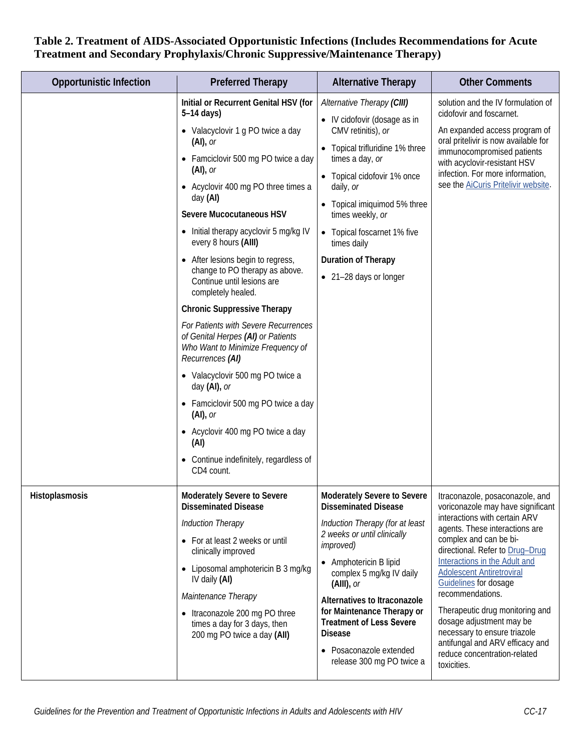| <b>Opportunistic Infection</b> | <b>Preferred Therapy</b>                                                                                                                                                                                                                                                                                                                                                                                                                                                                                                                                                                                                                                                                                                                                                                                                            | <b>Alternative Therapy</b>                                                                                                                                                                                                                                                                                                                                                                          | <b>Other Comments</b>                                                                                                                                                                                                                                                                                                                                                                                                                                                                                   |
|--------------------------------|-------------------------------------------------------------------------------------------------------------------------------------------------------------------------------------------------------------------------------------------------------------------------------------------------------------------------------------------------------------------------------------------------------------------------------------------------------------------------------------------------------------------------------------------------------------------------------------------------------------------------------------------------------------------------------------------------------------------------------------------------------------------------------------------------------------------------------------|-----------------------------------------------------------------------------------------------------------------------------------------------------------------------------------------------------------------------------------------------------------------------------------------------------------------------------------------------------------------------------------------------------|---------------------------------------------------------------------------------------------------------------------------------------------------------------------------------------------------------------------------------------------------------------------------------------------------------------------------------------------------------------------------------------------------------------------------------------------------------------------------------------------------------|
|                                | Initial or Recurrent Genital HSV (for<br>$5-14$ days)<br>• Valacyclovir 1 g PO twice a day<br>$(Al)$ , or<br>• Famciclovir 500 mg PO twice a day<br>$(Al)$ , or<br>• Acyclovir 400 mg PO three times a<br>day (AI)<br>Severe Mucocutaneous HSV<br>• Initial therapy acyclovir 5 mg/kg IV<br>every 8 hours (AIII)<br>After lesions begin to regress,<br>change to PO therapy as above.<br>Continue until lesions are<br>completely healed.<br><b>Chronic Suppressive Therapy</b><br>For Patients with Severe Recurrences<br>of Genital Herpes (AI) or Patients<br>Who Want to Minimize Frequency of<br>Recurrences (AI)<br>• Valacyclovir 500 mg PO twice a<br>day (AI), or<br>• Famciclovir 500 mg PO twice a day<br>$(Al)$ , or<br>• Acyclovir 400 mg PO twice a day<br>(AI)<br>Continue indefinitely, regardless of<br>CD4 count. | Alternative Therapy (CIII)<br>• IV cidofovir (dosage as in<br>CMV retinitis), or<br>• Topical trifluridine 1% three<br>times a day, or<br>• Topical cidofovir 1% once<br>daily, or<br>Topical imiquimod 5% three<br>$\bullet$<br>times weekly, or<br>• Topical foscarnet 1% five<br>times daily<br>Duration of Therapy<br>• 21-28 days or longer                                                    | solution and the IV formulation of<br>cidofovir and foscarnet.<br>An expanded access program of<br>oral pritelivir is now available for<br>immunocompromised patients<br>with acyclovir-resistant HSV<br>infection. For more information,<br>see the AiCuris Pritelivir website.                                                                                                                                                                                                                        |
| Histoplasmosis                 | Moderately Severe to Severe<br><b>Disseminated Disease</b><br><b>Induction Therapy</b><br>• For at least 2 weeks or until<br>clinically improved<br>• Liposomal amphotericin B 3 mg/kg<br>IV daily (AI)<br>Maintenance Therapy<br>• Itraconazole 200 mg PO three<br>times a day for 3 days, then<br>200 mg PO twice a day (AII)                                                                                                                                                                                                                                                                                                                                                                                                                                                                                                     | Moderately Severe to Severe<br><b>Disseminated Disease</b><br>Induction Therapy (for at least<br>2 weeks or until clinically<br><i>improved</i> )<br>• Amphotericin B lipid<br>complex 5 mg/kg IV daily<br>$(AIII)$ , or<br>Alternatives to Itraconazole<br>for Maintenance Therapy or<br><b>Treatment of Less Severe</b><br><b>Disease</b><br>• Posaconazole extended<br>release 300 mg PO twice a | Itraconazole, posaconazole, and<br>voriconazole may have significant<br>interactions with certain ARV<br>agents. These interactions are<br>complex and can be bi-<br>directional. Refer to Drug-Drug<br>Interactions in the Adult and<br><b>Adolescent Antiretroviral</b><br>Guidelines for dosage<br>recommendations.<br>Therapeutic drug monitoring and<br>dosage adjustment may be<br>necessary to ensure triazole<br>antifungal and ARV efficacy and<br>reduce concentration-related<br>toxicities. |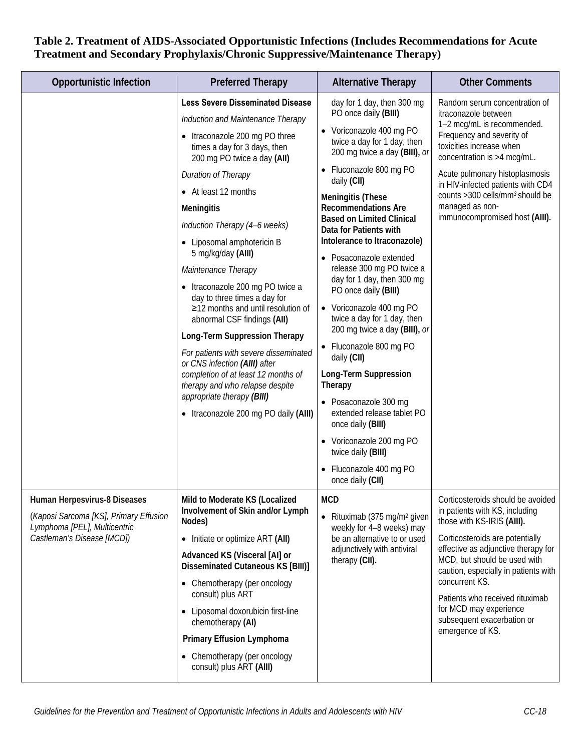| <b>Opportunistic Infection</b>                                                                                                       | <b>Preferred Therapy</b>                                                                                                                                                                                                                                                                                                                                                                                                                                                                                                                                                                                                                                                                                                                                                  | <b>Alternative Therapy</b>                                                                                                                                                                                                                                                                                                                                                                                                                                                                                                                                                                                                                                                                                                                                                                                        | <b>Other Comments</b>                                                                                                                                                                                                                                                                                                                                                                |
|--------------------------------------------------------------------------------------------------------------------------------------|---------------------------------------------------------------------------------------------------------------------------------------------------------------------------------------------------------------------------------------------------------------------------------------------------------------------------------------------------------------------------------------------------------------------------------------------------------------------------------------------------------------------------------------------------------------------------------------------------------------------------------------------------------------------------------------------------------------------------------------------------------------------------|-------------------------------------------------------------------------------------------------------------------------------------------------------------------------------------------------------------------------------------------------------------------------------------------------------------------------------------------------------------------------------------------------------------------------------------------------------------------------------------------------------------------------------------------------------------------------------------------------------------------------------------------------------------------------------------------------------------------------------------------------------------------------------------------------------------------|--------------------------------------------------------------------------------------------------------------------------------------------------------------------------------------------------------------------------------------------------------------------------------------------------------------------------------------------------------------------------------------|
|                                                                                                                                      | <b>Less Severe Disseminated Disease</b><br>Induction and Maintenance Therapy<br>• Itraconazole 200 mg PO three<br>times a day for 3 days, then<br>200 mg PO twice a day (AII)<br><b>Duration of Therapy</b><br>• At least 12 months<br><b>Meningitis</b><br>Induction Therapy (4-6 weeks)<br>• Liposomal amphotericin B<br>5 mg/kg/day (AIII)<br>Maintenance Therapy<br>• Itraconazole 200 mg PO twice a<br>day to three times a day for<br>≥12 months and until resolution of<br>abnormal CSF findings (AII)<br>Long-Term Suppression Therapy<br>For patients with severe disseminated<br>or CNS infection (AIII) after<br>completion of at least 12 months of<br>therapy and who relapse despite<br>appropriate therapy (BIII)<br>• Itraconazole 200 mg PO daily (AIII) | day for 1 day, then 300 mg<br>PO once daily (BIII)<br>• Voriconazole 400 mg PO<br>twice a day for 1 day, then<br>200 mg twice a day (BIII), or<br>• Fluconazole 800 mg PO<br>daily (CII)<br><b>Meningitis (These</b><br><b>Recommendations Are</b><br><b>Based on Limited Clinical</b><br>Data for Patients with<br>Intolerance to Itraconazole)<br>Posaconazole extended<br>release 300 mg PO twice a<br>day for 1 day, then 300 mg<br>PO once daily (BIII)<br>• Voriconazole 400 mg PO<br>twice a day for 1 day, then<br>200 mg twice a day (BIII), or<br>• Fluconazole 800 mg PO<br>daily (CII)<br>Long-Term Suppression<br>Therapy<br>• Posaconazole 300 mg<br>extended release tablet PO<br>once daily (BIII)<br>• Voriconazole 200 mg PO<br>twice daily (BIII)<br>Fluconazole 400 mg PO<br>once daily (CII) | Random serum concentration of<br>itraconazole between<br>1-2 mcg/mL is recommended.<br>Frequency and severity of<br>toxicities increase when<br>concentration is >4 mcg/mL.<br>Acute pulmonary histoplasmosis<br>in HIV-infected patients with CD4<br>counts >300 cells/mm <sup>3</sup> should be<br>managed as non-<br>immunocompromised host (AIII).                               |
| Human Herpesvirus-8 Diseases<br>(Kaposi Sarcoma [KS], Primary Effusion<br>Lymphoma [PEL], Multicentric<br>Castleman's Disease [MCD]) | Mild to Moderate KS (Localized<br>Involvement of Skin and/or Lymph<br>Nodes)<br>• Initiate or optimize ART (AII)<br>Advanced KS (Visceral [Al] or<br><b>Disseminated Cutaneous KS [BIII)]</b><br>• Chemotherapy (per oncology<br>consult) plus ART<br>• Liposomal doxorubicin first-line<br>chemotherapy (AI)<br><b>Primary Effusion Lymphoma</b><br>• Chemotherapy (per oncology<br>consult) plus ART (AIII)                                                                                                                                                                                                                                                                                                                                                             | <b>MCD</b><br>• Rituximab (375 mg/m <sup>2</sup> given<br>weekly for 4-8 weeks) may<br>be an alternative to or used<br>adjunctively with antiviral<br>therapy (CII).                                                                                                                                                                                                                                                                                                                                                                                                                                                                                                                                                                                                                                              | Corticosteroids should be avoided<br>in patients with KS, including<br>those with KS-IRIS (AIII).<br>Corticosteroids are potentially<br>effective as adjunctive therapy for<br>MCD, but should be used with<br>caution, especially in patients with<br>concurrent KS.<br>Patients who received rituximab<br>for MCD may experience<br>subsequent exacerbation or<br>emergence of KS. |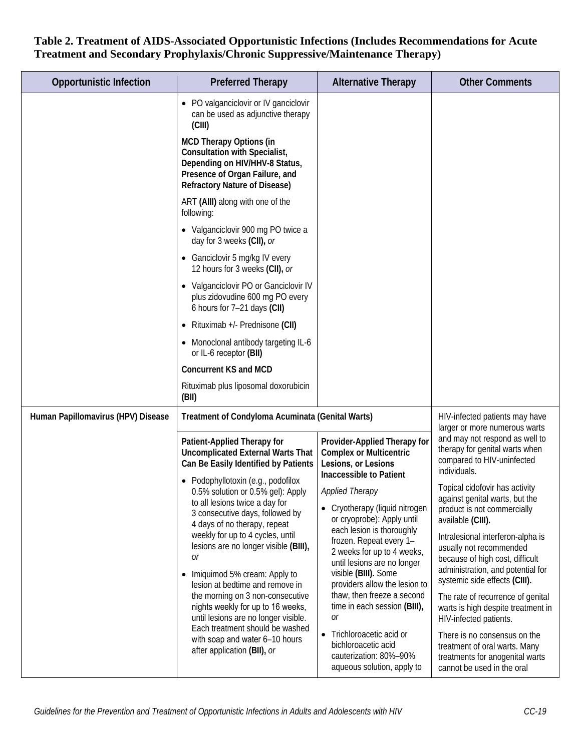| <b>Opportunistic Infection</b>     | <b>Preferred Therapy</b>                                                                                                                                                           | <b>Alternative Therapy</b>                                                                                                                                                 | <b>Other Comments</b>                                                                                                                                                 |
|------------------------------------|------------------------------------------------------------------------------------------------------------------------------------------------------------------------------------|----------------------------------------------------------------------------------------------------------------------------------------------------------------------------|-----------------------------------------------------------------------------------------------------------------------------------------------------------------------|
|                                    | • PO valganciclovir or IV ganciclovir<br>can be used as adjunctive therapy<br>(CIII)                                                                                               |                                                                                                                                                                            |                                                                                                                                                                       |
|                                    | <b>MCD Therapy Options (in</b><br><b>Consultation with Specialist,</b><br>Depending on HIV/HHV-8 Status,<br>Presence of Organ Failure, and<br><b>Refractory Nature of Disease)</b> |                                                                                                                                                                            |                                                                                                                                                                       |
|                                    | ART (AIII) along with one of the<br>following:                                                                                                                                     |                                                                                                                                                                            |                                                                                                                                                                       |
|                                    | • Valganciclovir 900 mg PO twice a<br>day for 3 weeks (CII), or                                                                                                                    |                                                                                                                                                                            |                                                                                                                                                                       |
|                                    | Ganciclovir 5 mg/kg IV every<br>12 hours for 3 weeks (CII), or                                                                                                                     |                                                                                                                                                                            |                                                                                                                                                                       |
|                                    | • Valganciclovir PO or Ganciclovir IV<br>plus zidovudine 600 mg PO every<br>6 hours for 7-21 days (CII)                                                                            |                                                                                                                                                                            |                                                                                                                                                                       |
|                                    | Rituximab +/- Prednisone (CII)                                                                                                                                                     |                                                                                                                                                                            |                                                                                                                                                                       |
|                                    | • Monoclonal antibody targeting IL-6<br>or IL-6 receptor (BII)                                                                                                                     |                                                                                                                                                                            |                                                                                                                                                                       |
|                                    | <b>Concurrent KS and MCD</b>                                                                                                                                                       |                                                                                                                                                                            |                                                                                                                                                                       |
|                                    | Rituximab plus liposomal doxorubicin<br>(BII)                                                                                                                                      |                                                                                                                                                                            |                                                                                                                                                                       |
| Human Papillomavirus (HPV) Disease | Treatment of Condyloma Acuminata (Genital Warts)                                                                                                                                   |                                                                                                                                                                            | HIV-infected patients may have<br>larger or more numerous warts                                                                                                       |
|                                    | Patient-Applied Therapy for<br><b>Uncomplicated External Warts That</b><br>Can Be Easily Identified by Patients                                                                    | Provider-Applied Therapy for<br><b>Complex or Multicentric</b><br>Lesions, or Lesions<br>Inaccessible to Patient                                                           | and may not respond as well to<br>therapy for genital warts when<br>compared to HIV-uninfected<br>individuals.                                                        |
|                                    | • Podophyllotoxin (e.g., podofilox<br>0.5% solution or 0.5% gel): Apply<br>to all lesions twice a day for<br>3 consecutive days, followed by<br>4 days of no therapy, repeat       | <b>Applied Therapy</b><br>• Cryotherapy (liquid nitrogen<br>or cryoprobe): Apply until                                                                                     | Topical cidofovir has activity<br>against genital warts, but the<br>product is not commercially<br>available (CIII).                                                  |
|                                    | weekly for up to 4 cycles, until<br>lesions are no longer visible (BIII),<br>0r<br>Imiquimod 5% cream: Apply to<br>$\bullet$<br>lesion at bedtime and remove in                    | each lesion is thoroughly<br>frozen. Repeat every 1-<br>2 weeks for up to 4 weeks,<br>until lesions are no longer<br>visible (BIII). Some<br>providers allow the lesion to | Intralesional interferon-alpha is<br>usually not recommended<br>because of high cost, difficult<br>administration, and potential for<br>systemic side effects (CIII). |
|                                    | the morning on 3 non-consecutive<br>nights weekly for up to 16 weeks,<br>until lesions are no longer visible.                                                                      | thaw, then freeze a second<br>time in each session (BIII),<br>0r                                                                                                           | The rate of recurrence of genital<br>warts is high despite treatment in<br>HIV-infected patients.                                                                     |
|                                    | Each treatment should be washed<br>with soap and water 6-10 hours<br>after application (BII), or                                                                                   | Trichloroacetic acid or<br>$\bullet$<br>bichloroacetic acid<br>cauterization: 80%-90%<br>aqueous solution, apply to                                                        | There is no consensus on the<br>treatment of oral warts. Many<br>treatments for anogenital warts<br>cannot be used in the oral                                        |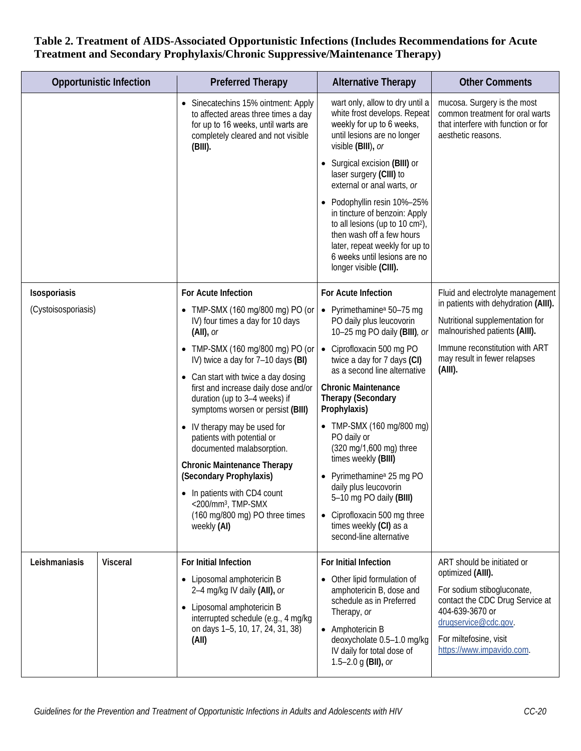|                     | <b>Opportunistic Infection</b> | <b>Preferred Therapy</b>                                                                                                                                            | <b>Alternative Therapy</b>                                                                                                                                                                                                         | <b>Other Comments</b>                                                                                                       |
|---------------------|--------------------------------|---------------------------------------------------------------------------------------------------------------------------------------------------------------------|------------------------------------------------------------------------------------------------------------------------------------------------------------------------------------------------------------------------------------|-----------------------------------------------------------------------------------------------------------------------------|
|                     |                                | Sinecatechins 15% ointment: Apply<br>to affected areas three times a day<br>for up to 16 weeks, until warts are<br>completely cleared and not visible<br>$(BIII)$ . | wart only, allow to dry until a<br>white frost develops. Repeat<br>weekly for up to 6 weeks,<br>until lesions are no longer<br>visible (BIII), or                                                                                  | mucosa. Surgery is the most<br>common treatment for oral warts<br>that interfere with function or for<br>aesthetic reasons. |
|                     |                                |                                                                                                                                                                     | • Surgical excision (BIII) or<br>laser surgery (CIII) to<br>external or anal warts, or                                                                                                                                             |                                                                                                                             |
|                     |                                |                                                                                                                                                                     | Podophyllin resin 10%-25%<br>in tincture of benzoin: Apply<br>to all lesions (up to 10 cm <sup>2</sup> ),<br>then wash off a few hours<br>later, repeat weekly for up to<br>6 weeks until lesions are no<br>longer visible (CIII). |                                                                                                                             |
| Isosporiasis        |                                | For Acute Infection                                                                                                                                                 | For Acute Infection                                                                                                                                                                                                                | Fluid and electrolyte management                                                                                            |
| (Cystoisosporiasis) |                                | • TMP-SMX (160 mg/800 mg) PO (or<br>IV) four times a day for 10 days<br>$(AII)$ , or                                                                                | • Pyrimethamine <sup>a</sup> 50-75 mg<br>PO daily plus leucovorin<br>10-25 mg PO daily (BIII), or                                                                                                                                  | in patients with dehydration (AIII).<br>Nutritional supplementation for<br>malnourished patients (AIII).                    |
|                     |                                | TMP-SMX (160 mg/800 mg) PO (or<br>IV) twice a day for 7-10 days (BI)                                                                                                | • Ciprofloxacin 500 mg PO<br>twice a day for 7 days (CI)<br>as a second line alternative                                                                                                                                           | Immune reconstitution with ART<br>may result in fewer relapses<br>(AIII).                                                   |
|                     |                                | • Can start with twice a day dosing<br>first and increase daily dose and/or<br>duration (up to 3-4 weeks) if<br>symptoms worsen or persist (BIII)                   | <b>Chronic Maintenance</b><br><b>Therapy (Secondary</b><br>Prophylaxis)                                                                                                                                                            |                                                                                                                             |
|                     |                                | • IV therapy may be used for<br>patients with potential or<br>documented malabsorption.                                                                             | • TMP-SMX (160 mg/800 mg)<br>PO daily or<br>(320 mg/1,600 mg) three                                                                                                                                                                |                                                                                                                             |
|                     |                                | <b>Chronic Maintenance Therapy</b><br>(Secondary Prophylaxis)                                                                                                       | times weekly (BIII)<br>Pyrimethamine <sup>a</sup> 25 mg PO                                                                                                                                                                         |                                                                                                                             |
|                     |                                | • In patients with CD4 count                                                                                                                                        | daily plus leucovorin<br>5-10 mg PO daily (BIII)                                                                                                                                                                                   |                                                                                                                             |
|                     |                                | <200/mm <sup>3</sup> , TMP-SMX<br>(160 mg/800 mg) PO three times<br>weekly (AI)                                                                                     | • Ciprofloxacin 500 mg three<br>times weekly (CI) as a<br>second-line alternative                                                                                                                                                  |                                                                                                                             |
| Leishmaniasis       | <b>Visceral</b>                | For Initial Infection                                                                                                                                               | For Initial Infection                                                                                                                                                                                                              | ART should be initiated or<br>optimized (AIII).                                                                             |
|                     |                                | • Liposomal amphotericin B<br>2-4 mg/kg IV daily (All), or<br>Liposomal amphotericin B<br>$\bullet$                                                                 | • Other lipid formulation of<br>amphotericin B, dose and<br>schedule as in Preferred<br>Therapy, or                                                                                                                                | For sodium stibogluconate,<br>contact the CDC Drug Service at<br>404-639-3670 or                                            |
|                     |                                | interrupted schedule (e.g., 4 mg/kg<br>on days 1-5, 10, 17, 24, 31, 38)<br>(AII)                                                                                    | • Amphotericin B<br>deoxycholate 0.5-1.0 mg/kg<br>IV daily for total dose of<br>1.5-2.0 g (BII), or                                                                                                                                | drugservice@cdc.gov.<br>For miltefosine, visit<br>https://www.impavido.com.                                                 |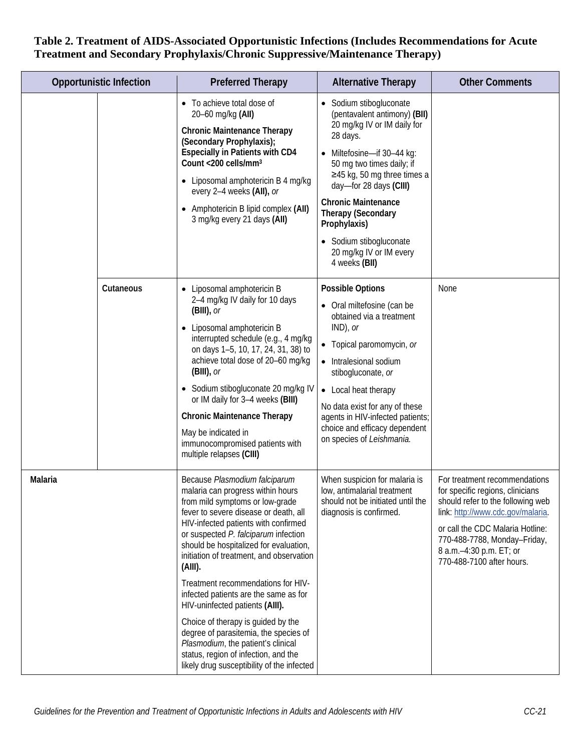|         | <b>Opportunistic Infection</b> | <b>Preferred Therapy</b>                                                                                                                                                                                                                                                                                                                                                                                                                                                                                                                                                                                                                                     | <b>Alternative Therapy</b>                                                                                                                                                                                                                                                                                                                                                     | <b>Other Comments</b>                                                                                                                                                                                                                                                   |
|---------|--------------------------------|--------------------------------------------------------------------------------------------------------------------------------------------------------------------------------------------------------------------------------------------------------------------------------------------------------------------------------------------------------------------------------------------------------------------------------------------------------------------------------------------------------------------------------------------------------------------------------------------------------------------------------------------------------------|--------------------------------------------------------------------------------------------------------------------------------------------------------------------------------------------------------------------------------------------------------------------------------------------------------------------------------------------------------------------------------|-------------------------------------------------------------------------------------------------------------------------------------------------------------------------------------------------------------------------------------------------------------------------|
|         |                                | • To achieve total dose of<br>20-60 mg/kg (AII)<br><b>Chronic Maintenance Therapy</b><br>(Secondary Prophylaxis);<br><b>Especially in Patients with CD4</b><br>Count <200 cells/mm <sup>3</sup><br>Liposomal amphotericin B 4 mg/kg<br>every 2-4 weeks (All), or<br>Amphotericin B lipid complex (AII)<br>3 mg/kg every 21 days (AII)                                                                                                                                                                                                                                                                                                                        | • Sodium stibogluconate<br>(pentavalent antimony) (BII)<br>20 mg/kg IV or IM daily for<br>28 days.<br>• Miltefosine-if 30-44 kg:<br>50 mg two times daily; if<br>$\geq$ 45 kg, 50 mg three times a<br>day-for 28 days (CIII)<br><b>Chronic Maintenance</b><br><b>Therapy (Secondary</b><br>Prophylaxis)<br>• Sodium stibogluconate<br>20 mg/kg IV or IM every<br>4 weeks (BII) |                                                                                                                                                                                                                                                                         |
|         | Cutaneous                      | • Liposomal amphotericin B<br>2-4 mg/kg IV daily for 10 days<br>$(BIII)$ , or<br>Liposomal amphotericin B<br>interrupted schedule (e.g., 4 mg/kg<br>on days 1-5, 10, 17, 24, 31, 38) to<br>achieve total dose of 20-60 mg/kg<br>$(BIII)$ , or<br>• Sodium stibogluconate 20 mg/kg IV<br>or IM daily for 3-4 weeks (BIII)<br><b>Chronic Maintenance Therapy</b><br>May be indicated in<br>immunocompromised patients with<br>multiple relapses (CIII)                                                                                                                                                                                                         | <b>Possible Options</b><br>• Oral miltefosine (can be<br>obtained via a treatment<br>$IND$ , or<br>• Topical paromomycin, or<br>• Intralesional sodium<br>stibogluconate, or<br>• Local heat therapy<br>No data exist for any of these<br>agents in HIV-infected patients;<br>choice and efficacy dependent<br>on species of Leishmania.                                       | None                                                                                                                                                                                                                                                                    |
| Malaria |                                | Because Plasmodium falciparum<br>malaria can progress within hours<br>from mild symptoms or low-grade<br>fever to severe disease or death, all<br>HIV-infected patients with confirmed<br>or suspected P. falciparum infection<br>should be hospitalized for evaluation,<br>initiation of treatment, and observation<br>(AIII).<br>Treatment recommendations for HIV-<br>infected patients are the same as for<br>HIV-uninfected patients (AIII).<br>Choice of therapy is guided by the<br>degree of parasitemia, the species of<br>Plasmodium, the patient's clinical<br>status, region of infection, and the<br>likely drug susceptibility of the infected | When suspicion for malaria is<br>low, antimalarial treatment<br>should not be initiated until the<br>diagnosis is confirmed.                                                                                                                                                                                                                                                   | For treatment recommendations<br>for specific regions, clinicians<br>should refer to the following web<br>link: http://www.cdc.gov/malaria.<br>or call the CDC Malaria Hotline:<br>770-488-7788, Monday-Friday,<br>8 a.m.-4:30 p.m. ET; or<br>770-488-7100 after hours. |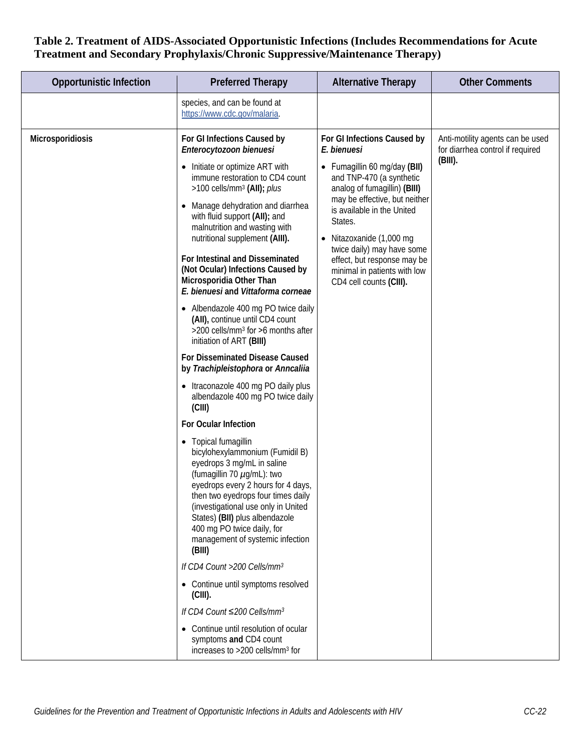| <b>Opportunistic Infection</b> | <b>Preferred Therapy</b>                                                                                                                                                                                                                                                                                                                                                                                                                                                                                                                                                                                                                                                                                                                                                                                                                                                                                                                                                                                                                                                                                                                                                                                                                                                                                                                                                                                                                               | <b>Alternative Therapy</b>                                                                                                                                                                                                                                                                                                                                         | <b>Other Comments</b>                                                              |
|--------------------------------|--------------------------------------------------------------------------------------------------------------------------------------------------------------------------------------------------------------------------------------------------------------------------------------------------------------------------------------------------------------------------------------------------------------------------------------------------------------------------------------------------------------------------------------------------------------------------------------------------------------------------------------------------------------------------------------------------------------------------------------------------------------------------------------------------------------------------------------------------------------------------------------------------------------------------------------------------------------------------------------------------------------------------------------------------------------------------------------------------------------------------------------------------------------------------------------------------------------------------------------------------------------------------------------------------------------------------------------------------------------------------------------------------------------------------------------------------------|--------------------------------------------------------------------------------------------------------------------------------------------------------------------------------------------------------------------------------------------------------------------------------------------------------------------------------------------------------------------|------------------------------------------------------------------------------------|
|                                | species, and can be found at<br>https://www.cdc.gov/malaria.                                                                                                                                                                                                                                                                                                                                                                                                                                                                                                                                                                                                                                                                                                                                                                                                                                                                                                                                                                                                                                                                                                                                                                                                                                                                                                                                                                                           |                                                                                                                                                                                                                                                                                                                                                                    |                                                                                    |
| Microsporidiosis               | For GI Infections Caused by<br>Enterocytozoon bienuesi<br>• Initiate or optimize ART with<br>immune restoration to CD4 count<br>>100 cells/mm <sup>3</sup> (AII); plus<br>Manage dehydration and diarrhea<br>$\bullet$<br>with fluid support (AII); and<br>malnutrition and wasting with<br>nutritional supplement (AIII).<br>For Intestinal and Disseminated<br>(Not Ocular) Infections Caused by<br>Microsporidia Other Than<br>E. bienuesi and Vittaforma corneae<br>• Albendazole 400 mg PO twice daily<br>(All), continue until CD4 count<br>>200 cells/mm <sup>3</sup> for >6 months after<br>initiation of ART (BIII)<br>For Disseminated Disease Caused<br>by Trachipleistophora or Anncaliia<br>• Itraconazole 400 mg PO daily plus<br>albendazole 400 mg PO twice daily<br>(CIII)<br>For Ocular Infection<br>Topical fumagillin<br>$\bullet$<br>bicylohexylammonium (Fumidil B)<br>eyedrops 3 mg/mL in saline<br>(fumagillin 70 µg/mL): two<br>eyedrops every 2 hours for 4 days,<br>then two eyedrops four times daily<br>(investigational use only in United<br>States) (BII) plus albendazole<br>400 mg PO twice daily, for<br>management of systemic infection<br>(BIII)<br>If CD4 Count >200 Cells/mm <sup>3</sup><br>• Continue until symptoms resolved<br>$(CIII)$ .<br>If CD4 Count $\leq$ 200 Cells/mm <sup>3</sup><br>Continue until resolution of ocular<br>symptoms and CD4 count<br>increases to >200 cells/mm <sup>3</sup> for | For GI Infections Caused by<br>E. bienuesi<br>• Fumagillin 60 mg/day (BII)<br>and TNP-470 (a synthetic<br>analog of fumagillin) (BIII)<br>may be effective, but neither<br>is available in the United<br>States.<br>Nitazoxanide (1,000 mg<br>twice daily) may have some<br>effect, but response may be<br>minimal in patients with low<br>CD4 cell counts (CIII). | Anti-motility agents can be used<br>for diarrhea control if required<br>$(BIII)$ . |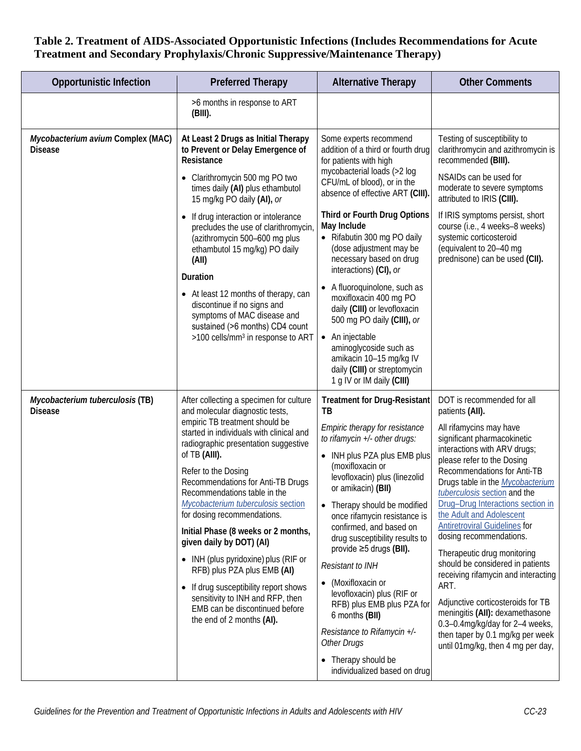| <b>Opportunistic Infection</b>                      | <b>Preferred Therapy</b>                                                                                                                                                                                                                                                                                                                                                                                                                                                                                                                                                                                                                                               | <b>Alternative Therapy</b>                                                                                                                                                                                                                                                                                                                                                                                                                                                                                                                                                                                                 | <b>Other Comments</b>                                                                                                                                                                                                                                                                                                                                                                                                                                                                                                                                                                                                                                                                                                     |
|-----------------------------------------------------|------------------------------------------------------------------------------------------------------------------------------------------------------------------------------------------------------------------------------------------------------------------------------------------------------------------------------------------------------------------------------------------------------------------------------------------------------------------------------------------------------------------------------------------------------------------------------------------------------------------------------------------------------------------------|----------------------------------------------------------------------------------------------------------------------------------------------------------------------------------------------------------------------------------------------------------------------------------------------------------------------------------------------------------------------------------------------------------------------------------------------------------------------------------------------------------------------------------------------------------------------------------------------------------------------------|---------------------------------------------------------------------------------------------------------------------------------------------------------------------------------------------------------------------------------------------------------------------------------------------------------------------------------------------------------------------------------------------------------------------------------------------------------------------------------------------------------------------------------------------------------------------------------------------------------------------------------------------------------------------------------------------------------------------------|
|                                                     | >6 months in response to ART<br>$(BIII)$ .                                                                                                                                                                                                                                                                                                                                                                                                                                                                                                                                                                                                                             |                                                                                                                                                                                                                                                                                                                                                                                                                                                                                                                                                                                                                            |                                                                                                                                                                                                                                                                                                                                                                                                                                                                                                                                                                                                                                                                                                                           |
| Mycobacterium avium Complex (MAC)<br><b>Disease</b> | At Least 2 Drugs as Initial Therapy<br>to Prevent or Delay Emergence of<br>Resistance<br>Clarithromycin 500 mg PO two<br>times daily (AI) plus ethambutol<br>15 mg/kg PO daily (AI), or<br>If drug interaction or intolerance<br>$\bullet$<br>precludes the use of clarithromycin,<br>(azithromycin 500-600 mg plus<br>ethambutol 15 mg/kg) PO daily<br>(All)<br>Duration<br>• At least 12 months of therapy, can<br>discontinue if no signs and<br>symptoms of MAC disease and<br>sustained (>6 months) CD4 count<br>>100 cells/mm <sup>3</sup> in response to ART                                                                                                    | Some experts recommend<br>addition of a third or fourth drug<br>for patients with high<br>mycobacterial loads (>2 log<br>CFU/mL of blood), or in the<br>absence of effective ART (CIII).<br>Third or Fourth Drug Options<br>May Include<br>• Rifabutin 300 mg PO daily<br>(dose adjustment may be<br>necessary based on drug<br>interactions) (CI), or<br>• A fluoroquinolone, such as<br>moxifloxacin 400 mg PO<br>daily (CIII) or levofloxacin<br>500 mg PO daily (CIII), or<br>• An injectable<br>aminoglycoside such as<br>amikacin 10-15 mg/kg IV<br>daily (CIII) or streptomycin<br>1 g IV or IM daily (CIII)        | Testing of susceptibility to<br>clarithromycin and azithromycin is<br>recommended (BIII).<br>NSAIDs can be used for<br>moderate to severe symptoms<br>attributed to IRIS (CIII).<br>If IRIS symptoms persist, short<br>course (i.e., 4 weeks-8 weeks)<br>systemic corticosteroid<br>(equivalent to 20-40 mg<br>prednisone) can be used (CII).                                                                                                                                                                                                                                                                                                                                                                             |
| Mycobacterium tuberculosis (TB)<br><b>Disease</b>   | After collecting a specimen for culture<br>and molecular diagnostic tests,<br>empiric TB treatment should be<br>started in individuals with clinical and<br>radiographic presentation suggestive<br>of TB (AIII).<br>Refer to the Dosing<br>Recommendations for Anti-TB Drugs<br>Recommendations table in the<br>Mycobacterium tuberculosis section<br>for dosing recommendations.<br>Initial Phase (8 weeks or 2 months,<br>given daily by DOT) (AI)<br>• INH (plus pyridoxine) plus (RIF or<br>RFB) plus PZA plus EMB (AI)<br>If drug susceptibility report shows<br>sensitivity to INH and RFP, then<br>EMB can be discontinued before<br>the end of 2 months (AI). | <b>Treatment for Drug-Resistant</b><br>TВ<br>Empiric therapy for resistance<br>to rifamycin +/- other drugs:<br>• INH plus PZA plus EMB plus<br>(moxifloxacin or<br>levofloxacin) plus (linezolid<br>or amikacin) (BII)<br>• Therapy should be modified<br>once rifamycin resistance is<br>confirmed, and based on<br>drug susceptibility results to<br>provide ≥5 drugs (BII).<br><b>Resistant to INH</b><br>• (Moxifloxacin or<br>levofloxacin) plus (RIF or<br>RFB) plus EMB plus PZA for<br>6 months (BII)<br>Resistance to Rifamycin +/-<br><b>Other Drugs</b><br>• Therapy should be<br>individualized based on drug | DOT is recommended for all<br>patients (AII).<br>All rifamycins may have<br>significant pharmacokinetic<br>interactions with ARV drugs;<br>please refer to the Dosing<br>Recommendations for Anti-TB<br>Drugs table in the <b>Mycobacterium</b><br>tuberculosis section and the<br>Drug-Drug Interactions section in<br>the Adult and Adolescent<br><b>Antiretroviral Guidelines for</b><br>dosing recommendations.<br>Therapeutic drug monitoring<br>should be considered in patients<br>receiving rifamycin and interacting<br>ART.<br>Adjunctive corticosteroids for TB<br>meningitis (AII): dexamethasone<br>0.3-0.4mg/kg/day for 2-4 weeks,<br>then taper by 0.1 mg/kg per week<br>until 01mg/kg, then 4 mg per day, |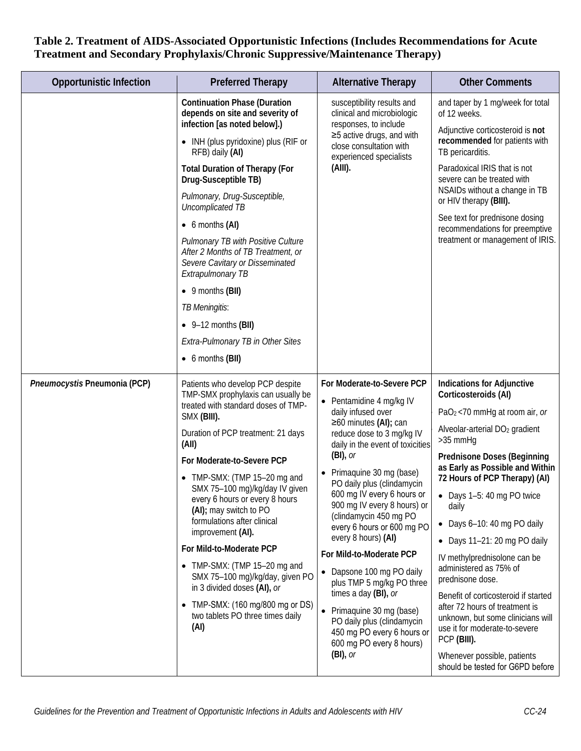| <b>Opportunistic Infection</b> | <b>Preferred Therapy</b>                                                                                                                                                                                                                                                                                                                                                                                                                                                                                                                                                                                        | <b>Alternative Therapy</b>                                                                                                                                                                                                                                                                                                                                                                                                                                                                                                                                                                                                                         | <b>Other Comments</b>                                                                                                                                                                                                                                                                                                                                                                                                                                                                                                                                                                                                                                                                           |
|--------------------------------|-----------------------------------------------------------------------------------------------------------------------------------------------------------------------------------------------------------------------------------------------------------------------------------------------------------------------------------------------------------------------------------------------------------------------------------------------------------------------------------------------------------------------------------------------------------------------------------------------------------------|----------------------------------------------------------------------------------------------------------------------------------------------------------------------------------------------------------------------------------------------------------------------------------------------------------------------------------------------------------------------------------------------------------------------------------------------------------------------------------------------------------------------------------------------------------------------------------------------------------------------------------------------------|-------------------------------------------------------------------------------------------------------------------------------------------------------------------------------------------------------------------------------------------------------------------------------------------------------------------------------------------------------------------------------------------------------------------------------------------------------------------------------------------------------------------------------------------------------------------------------------------------------------------------------------------------------------------------------------------------|
|                                | <b>Continuation Phase (Duration</b><br>depends on site and severity of<br>infection [as noted below].)<br>• INH (plus pyridoxine) plus (RIF or<br>RFB) daily (AI)<br><b>Total Duration of Therapy (For</b><br>Drug-Susceptible TB)<br>Pulmonary, Drug-Susceptible,<br>Uncomplicated TB<br>$\bullet$ 6 months (AI)<br>Pulmonary TB with Positive Culture<br>After 2 Months of TB Treatment, or<br>Severe Cavitary or Disseminated<br>Extrapulmonary TB<br>$\bullet$ 9 months (BII)<br>TB Meningitis:<br>$\bullet$ 9-12 months (BII)<br>Extra-Pulmonary TB in Other Sites<br>$\bullet$ 6 months (BII)             | susceptibility results and<br>clinical and microbiologic<br>responses, to include<br>$\geq$ 5 active drugs, and with<br>close consultation with<br>experienced specialists<br>(AIII).                                                                                                                                                                                                                                                                                                                                                                                                                                                              | and taper by 1 mg/week for total<br>of 12 weeks.<br>Adjunctive corticosteroid is not<br>recommended for patients with<br>TB pericarditis.<br>Paradoxical IRIS that is not<br>severe can be treated with<br>NSAIDs without a change in TB<br>or HIV therapy (BIII).<br>See text for prednisone dosing<br>recommendations for preemptive<br>treatment or management of IRIS.                                                                                                                                                                                                                                                                                                                      |
| Pneumocystis Pneumonia (PCP)   | Patients who develop PCP despite<br>TMP-SMX prophylaxis can usually be<br>treated with standard doses of TMP-<br>SMX (BIII).<br>Duration of PCP treatment: 21 days<br>(All)<br>For Moderate-to-Severe PCP<br>• TMP-SMX: (TMP 15-20 mg and<br>SMX 75-100 mg)/kg/day IV given<br>every 6 hours or every 8 hours<br>(AI); may switch to PO<br>formulations after clinical<br>improvement (AI).<br>For Mild-to-Moderate PCP<br>$\bullet$ TMP-SMX: (TMP 15-20 mg and<br>SMX 75-100 mg)/kg/day, given PO<br>in 3 divided doses (AI), or<br>TMP-SMX: (160 mg/800 mg or DS)<br>two tablets PO three times daily<br>(AI) | For Moderate-to-Severe PCP<br>• Pentamidine 4 mg/kg IV<br>daily infused over<br>$\geq 60$ minutes (AI); can<br>reduce dose to 3 mg/kg IV<br>daily in the event of toxicities<br>$(BI)$ , or<br>Primaquine 30 mg (base)<br>PO daily plus (clindamycin<br>600 mg IV every 6 hours or<br>900 mg IV every 8 hours) or<br>(clindamycin 450 mg PO<br>every 6 hours or 600 mg PO<br>every 8 hours) (AI)<br>For Mild-to-Moderate PCP<br>• Dapsone 100 mg PO daily<br>plus TMP 5 mg/kg PO three<br>times a day (BI), or<br>• Primaquine 30 mg (base)<br>PO daily plus (clindamycin<br>450 mg PO every 6 hours or<br>600 mg PO every 8 hours)<br>$(BI)$ , or | <b>Indications for Adjunctive</b><br>Corticosteroids (AI)<br>$PaO2 < 70$ mmHg at room air, or<br>Alveolar-arterial DO <sub>2</sub> gradient<br>$>35$ mmHg<br><b>Prednisone Doses (Beginning</b><br>as Early as Possible and Within<br>72 Hours of PCP Therapy) (AI)<br>Days 1-5: 40 mg PO twice<br>daily<br>• Days 6-10: 40 mg PO daily<br>$\bullet$ Days 11-21: 20 mg PO daily<br>IV methylprednisolone can be<br>administered as 75% of<br>prednisone dose.<br>Benefit of corticosteroid if started<br>after 72 hours of treatment is<br>unknown, but some clinicians will<br>use it for moderate-to-severe<br>PCP (BIII).<br>Whenever possible, patients<br>should be tested for G6PD before |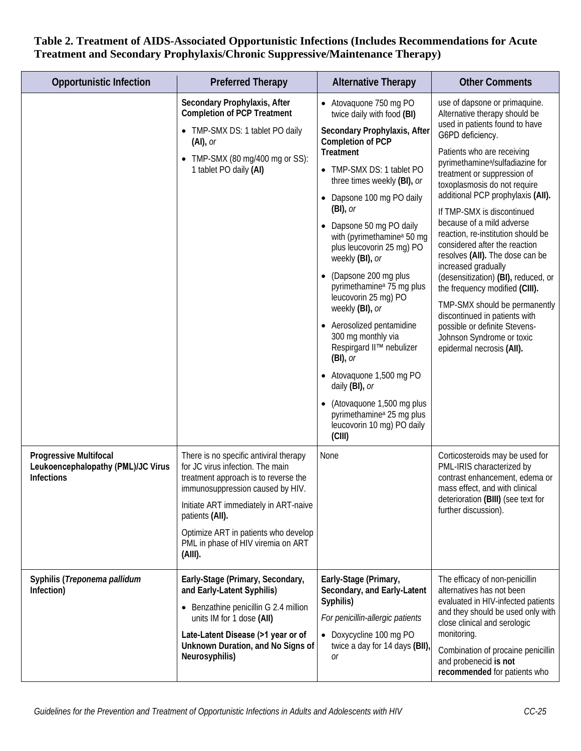| <b>Opportunistic Infection</b>                                                           | <b>Preferred Therapy</b>                                                                                                                                                                                                                                                                                    | <b>Alternative Therapy</b>                                                                                                                                                                                                                                                                                                                                                                                                                                                                                                                                                                                                                                                                                                  | <b>Other Comments</b>                                                                                                                                                                                                                                                                                                                                                                                                                                                                                                                                                                                                                                                                                                                    |
|------------------------------------------------------------------------------------------|-------------------------------------------------------------------------------------------------------------------------------------------------------------------------------------------------------------------------------------------------------------------------------------------------------------|-----------------------------------------------------------------------------------------------------------------------------------------------------------------------------------------------------------------------------------------------------------------------------------------------------------------------------------------------------------------------------------------------------------------------------------------------------------------------------------------------------------------------------------------------------------------------------------------------------------------------------------------------------------------------------------------------------------------------------|------------------------------------------------------------------------------------------------------------------------------------------------------------------------------------------------------------------------------------------------------------------------------------------------------------------------------------------------------------------------------------------------------------------------------------------------------------------------------------------------------------------------------------------------------------------------------------------------------------------------------------------------------------------------------------------------------------------------------------------|
|                                                                                          | Secondary Prophylaxis, After<br><b>Completion of PCP Treatment</b><br>• TMP-SMX DS: 1 tablet PO daily<br>$(Al)$ , or<br>• TMP-SMX (80 mg/400 mg or SS):<br>1 tablet PO daily (AI)                                                                                                                           | • Atovaquone 750 mg PO<br>twice daily with food (BI)<br>Secondary Prophylaxis, After<br><b>Completion of PCP</b><br>Treatment<br>• TMP-SMX DS: 1 tablet PO<br>three times weekly (BI), or<br>Dapsone 100 mg PO daily<br>$(BI)$ , or<br>Dapsone 50 mg PO daily<br>with (pyrimethamine <sup>a</sup> 50 mg<br>plus leucovorin 25 mg) PO<br>weekly (BI), or<br>(Dapsone 200 mg plus<br>pyrimethamine <sup>a</sup> 75 mg plus<br>leucovorin 25 mg) PO<br>weekly (BI), or<br>Aerosolized pentamidine<br>300 mg monthly via<br>Respirgard II™ nebulizer<br>$(BI)$ , or<br>• Atovaquone 1,500 mg PO<br>daily (BI), or<br>(Atovaquone 1,500 mg plus<br>pyrimethamine <sup>a</sup> 25 mg plus<br>leucovorin 10 mg) PO daily<br>(CIII) | use of dapsone or primaquine.<br>Alternative therapy should be<br>used in patients found to have<br>G6PD deficiency.<br>Patients who are receiving<br>pyrimethamine <sup>a</sup> /sulfadiazine for<br>treatment or suppression of<br>toxoplasmosis do not require<br>additional PCP prophylaxis (AII).<br>If TMP-SMX is discontinued<br>because of a mild adverse<br>reaction, re-institution should be<br>considered after the reaction<br>resolves (AII). The dose can be<br>increased gradually<br>(desensitization) (BI), reduced, or<br>the frequency modified (CIII).<br>TMP-SMX should be permanently<br>discontinued in patients with<br>possible or definite Stevens-<br>Johnson Syndrome or toxic<br>epidermal necrosis (AII). |
| <b>Progressive Multifocal</b><br>Leukoencephalopathy (PML)/JC Virus<br><b>Infections</b> | There is no specific antiviral therapy<br>for JC virus infection. The main<br>treatment approach is to reverse the<br>immunosuppression caused by HIV.<br>Initiate ART immediately in ART-naive<br>patients (AII).<br>Optimize ART in patients who develop<br>PML in phase of HIV viremia on ART<br>(AIII). | None                                                                                                                                                                                                                                                                                                                                                                                                                                                                                                                                                                                                                                                                                                                        | Corticosteroids may be used for<br>PML-IRIS characterized by<br>contrast enhancement, edema or<br>mass effect, and with clinical<br>deterioration (BIII) (see text for<br>further discussion).                                                                                                                                                                                                                                                                                                                                                                                                                                                                                                                                           |
| Syphilis (Treponema pallidum<br>Infection)                                               | Early-Stage (Primary, Secondary,<br>and Early-Latent Syphilis)<br>• Benzathine penicillin G 2.4 million<br>units IM for 1 dose (AII)<br>Late-Latent Disease (>1 year or of<br>Unknown Duration, and No Signs of<br>Neurosyphilis)                                                                           | Early-Stage (Primary,<br>Secondary, and Early-Latent<br>Syphilis)<br>For penicillin-allergic patients<br>• Doxycycline 100 mg PO<br>twice a day for 14 days (BII)<br>Оr                                                                                                                                                                                                                                                                                                                                                                                                                                                                                                                                                     | The efficacy of non-penicillin<br>alternatives has not been<br>evaluated in HIV-infected patients<br>and they should be used only with<br>close clinical and serologic<br>monitoring.<br>Combination of procaine penicillin<br>and probenecid is not<br>recommended for patients who                                                                                                                                                                                                                                                                                                                                                                                                                                                     |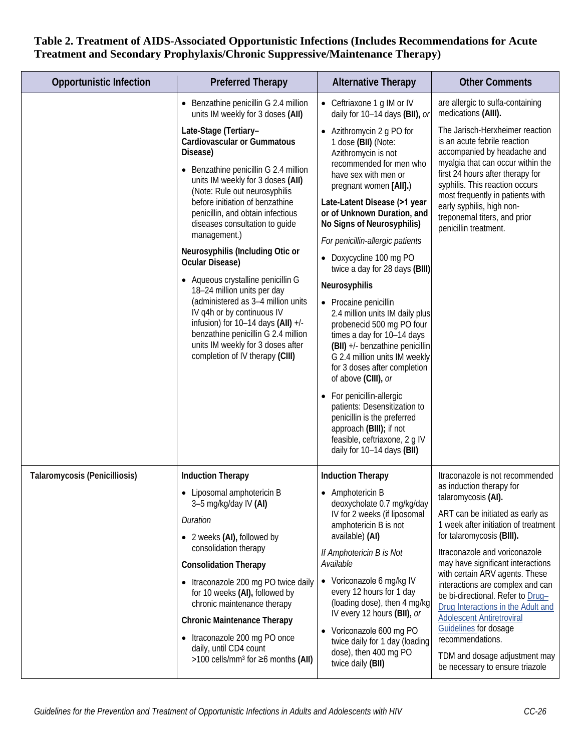| <b>Opportunistic Infection</b> | <b>Preferred Therapy</b>                                                                                                                                                                                                                                                                                                                                                                                                                                                                                                                                                                                                                                                  | <b>Alternative Therapy</b>                                                                                                                                                                                                                                                                                                                                                                                                                                                                                                                                                                                                                                                                                                                                                                                | <b>Other Comments</b>                                                                                                                                                                                                                                                                                                               |
|--------------------------------|---------------------------------------------------------------------------------------------------------------------------------------------------------------------------------------------------------------------------------------------------------------------------------------------------------------------------------------------------------------------------------------------------------------------------------------------------------------------------------------------------------------------------------------------------------------------------------------------------------------------------------------------------------------------------|-----------------------------------------------------------------------------------------------------------------------------------------------------------------------------------------------------------------------------------------------------------------------------------------------------------------------------------------------------------------------------------------------------------------------------------------------------------------------------------------------------------------------------------------------------------------------------------------------------------------------------------------------------------------------------------------------------------------------------------------------------------------------------------------------------------|-------------------------------------------------------------------------------------------------------------------------------------------------------------------------------------------------------------------------------------------------------------------------------------------------------------------------------------|
|                                | • Benzathine penicillin G 2.4 million<br>units IM weekly for 3 doses (AII)                                                                                                                                                                                                                                                                                                                                                                                                                                                                                                                                                                                                | • Ceftriaxone 1 g IM or IV<br>daily for 10-14 days (BII), or                                                                                                                                                                                                                                                                                                                                                                                                                                                                                                                                                                                                                                                                                                                                              | are allergic to sulfa-containing<br>medications (AIII).                                                                                                                                                                                                                                                                             |
|                                | Late-Stage (Tertiary-<br><b>Cardiovascular or Gummatous</b><br>Disease)<br>• Benzathine penicillin G 2.4 million<br>units IM weekly for 3 doses (AII)<br>(Note: Rule out neurosyphilis<br>before initiation of benzathine<br>penicillin, and obtain infectious<br>diseases consultation to guide<br>management.)<br>Neurosyphilis (Including Otic or<br>Ocular Disease)<br>• Aqueous crystalline penicillin G<br>18-24 million units per day<br>(administered as 3-4 million units<br>IV q4h or by continuous IV<br>infusion) for $10-14$ days (AII) $+/-$<br>benzathine penicillin G 2.4 million<br>units IM weekly for 3 doses after<br>completion of IV therapy (CIII) | • Azithromycin 2 g PO for<br>1 dose (BII) (Note:<br>Azithromycin is not<br>recommended for men who<br>have sex with men or<br>pregnant women [AII].)<br>Late-Latent Disease (>1 year<br>or of Unknown Duration, and<br>No Signs of Neurosyphilis)<br>For penicillin-allergic patients<br>Doxycycline 100 mg PO<br>twice a day for 28 days (BIII)<br>Neurosyphilis<br>• Procaine penicillin<br>2.4 million units IM daily plus<br>probenecid 500 mg PO four<br>times a day for 10-14 days<br>(BII) +/- benzathine penicillin<br>G 2.4 million units IM weekly<br>for 3 doses after completion<br>of above (CIII), or<br>• For penicillin-allergic<br>patients: Desensitization to<br>penicillin is the preferred<br>approach (BIII); if not<br>feasible, ceftriaxone, 2 g IV<br>daily for 10-14 days (BII) | The Jarisch-Herxheimer reaction<br>is an acute febrile reaction<br>accompanied by headache and<br>myalgia that can occur within the<br>first 24 hours after therapy for<br>syphilis. This reaction occurs<br>most frequently in patients with<br>early syphilis, high non-<br>treponemal titers, and prior<br>penicillin treatment. |
| Talaromycosis (Penicilliosis)  | <b>Induction Therapy</b><br>• Liposomal amphotericin B                                                                                                                                                                                                                                                                                                                                                                                                                                                                                                                                                                                                                    | <b>Induction Therapy</b><br>• Amphotericin B                                                                                                                                                                                                                                                                                                                                                                                                                                                                                                                                                                                                                                                                                                                                                              | Itraconazole is not recommended<br>as induction therapy for<br>talaromycosis (AI).                                                                                                                                                                                                                                                  |
|                                | 3-5 mg/kg/day IV (AI)<br>Duration<br>• 2 weeks (AI), followed by                                                                                                                                                                                                                                                                                                                                                                                                                                                                                                                                                                                                          | deoxycholate 0.7 mg/kg/day<br>IV for 2 weeks (if liposomal<br>amphotericin B is not<br>available) (AI)                                                                                                                                                                                                                                                                                                                                                                                                                                                                                                                                                                                                                                                                                                    | ART can be initiated as early as<br>1 week after initiation of treatment<br>for talaromycosis (BIII).                                                                                                                                                                                                                               |
|                                | consolidation therapy                                                                                                                                                                                                                                                                                                                                                                                                                                                                                                                                                                                                                                                     | If Amphotericin B is Not                                                                                                                                                                                                                                                                                                                                                                                                                                                                                                                                                                                                                                                                                                                                                                                  | Itraconazole and voriconazole                                                                                                                                                                                                                                                                                                       |
|                                | <b>Consolidation Therapy</b>                                                                                                                                                                                                                                                                                                                                                                                                                                                                                                                                                                                                                                              | Available                                                                                                                                                                                                                                                                                                                                                                                                                                                                                                                                                                                                                                                                                                                                                                                                 | may have significant interactions<br>with certain ARV agents. These                                                                                                                                                                                                                                                                 |
|                                | • Itraconazole 200 mg PO twice daily<br>for 10 weeks (AI), followed by<br>chronic maintenance therapy                                                                                                                                                                                                                                                                                                                                                                                                                                                                                                                                                                     | • Voriconazole 6 mg/kg IV<br>every 12 hours for 1 day<br>(loading dose), then 4 mg/kg<br>IV every 12 hours (BII), or                                                                                                                                                                                                                                                                                                                                                                                                                                                                                                                                                                                                                                                                                      | interactions are complex and can<br>be bi-directional. Refer to Drug-<br>Drug Interactions in the Adult and                                                                                                                                                                                                                         |
|                                | <b>Chronic Maintenance Therapy</b><br>• Itraconazole 200 mg PO once                                                                                                                                                                                                                                                                                                                                                                                                                                                                                                                                                                                                       | • Voriconazole 600 mg PO<br>twice daily for 1 day (loading                                                                                                                                                                                                                                                                                                                                                                                                                                                                                                                                                                                                                                                                                                                                                | <b>Adolescent Antiretroviral</b><br>Guidelines for dosage<br>recommendations.                                                                                                                                                                                                                                                       |
|                                | daily, until CD4 count<br>>100 cells/mm <sup>3</sup> for $\geq$ 6 months (AII)                                                                                                                                                                                                                                                                                                                                                                                                                                                                                                                                                                                            | dose), then 400 mg PO<br>twice daily (BII)                                                                                                                                                                                                                                                                                                                                                                                                                                                                                                                                                                                                                                                                                                                                                                | TDM and dosage adjustment may<br>be necessary to ensure triazole                                                                                                                                                                                                                                                                    |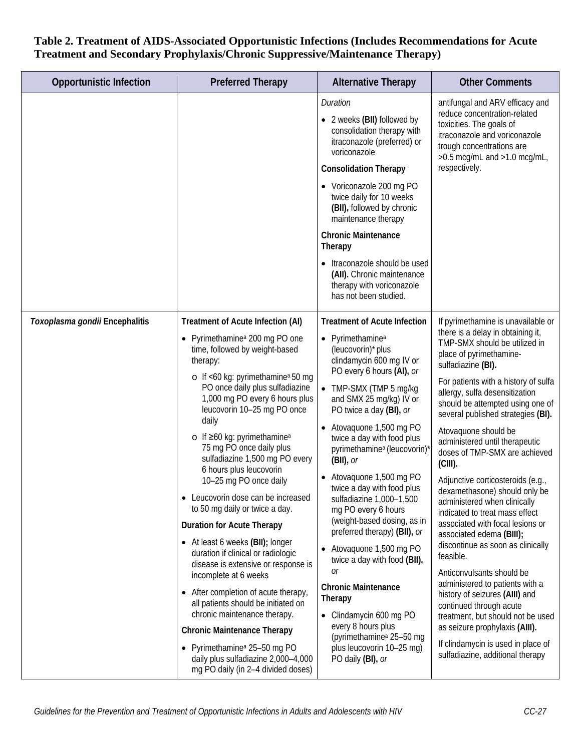| <b>Opportunistic Infection</b> | <b>Preferred Therapy</b>                                                                                                                                                                                                                                                                                                                                                                                                                                                                                                                                                                                                                                                                                                                                                                                                                                                                                                                                                                                     | <b>Alternative Therapy</b>                                                                                                                                                                                                                                                                                                                                                                                                                                                                                                                                                                                                                                                                                                                                                                           | <b>Other Comments</b>                                                                                                                                                                                                                                                                                                                                                                                                                                                                                                                                                                                                                                                                                                                                                                                                                                                                                                                                          |
|--------------------------------|--------------------------------------------------------------------------------------------------------------------------------------------------------------------------------------------------------------------------------------------------------------------------------------------------------------------------------------------------------------------------------------------------------------------------------------------------------------------------------------------------------------------------------------------------------------------------------------------------------------------------------------------------------------------------------------------------------------------------------------------------------------------------------------------------------------------------------------------------------------------------------------------------------------------------------------------------------------------------------------------------------------|------------------------------------------------------------------------------------------------------------------------------------------------------------------------------------------------------------------------------------------------------------------------------------------------------------------------------------------------------------------------------------------------------------------------------------------------------------------------------------------------------------------------------------------------------------------------------------------------------------------------------------------------------------------------------------------------------------------------------------------------------------------------------------------------------|----------------------------------------------------------------------------------------------------------------------------------------------------------------------------------------------------------------------------------------------------------------------------------------------------------------------------------------------------------------------------------------------------------------------------------------------------------------------------------------------------------------------------------------------------------------------------------------------------------------------------------------------------------------------------------------------------------------------------------------------------------------------------------------------------------------------------------------------------------------------------------------------------------------------------------------------------------------|
|                                |                                                                                                                                                                                                                                                                                                                                                                                                                                                                                                                                                                                                                                                                                                                                                                                                                                                                                                                                                                                                              | Duration<br>• 2 weeks (BII) followed by<br>consolidation therapy with<br>itraconazole (preferred) or<br>voriconazole<br><b>Consolidation Therapy</b>                                                                                                                                                                                                                                                                                                                                                                                                                                                                                                                                                                                                                                                 | antifungal and ARV efficacy and<br>reduce concentration-related<br>toxicities. The goals of<br>itraconazole and voriconazole<br>trough concentrations are<br>$>0.5$ mcg/mL and $>1.0$ mcg/mL,<br>respectively.                                                                                                                                                                                                                                                                                                                                                                                                                                                                                                                                                                                                                                                                                                                                                 |
|                                |                                                                                                                                                                                                                                                                                                                                                                                                                                                                                                                                                                                                                                                                                                                                                                                                                                                                                                                                                                                                              | • Voriconazole 200 mg PO<br>twice daily for 10 weeks<br>(BII), followed by chronic<br>maintenance therapy<br><b>Chronic Maintenance</b><br>Therapy                                                                                                                                                                                                                                                                                                                                                                                                                                                                                                                                                                                                                                                   |                                                                                                                                                                                                                                                                                                                                                                                                                                                                                                                                                                                                                                                                                                                                                                                                                                                                                                                                                                |
|                                |                                                                                                                                                                                                                                                                                                                                                                                                                                                                                                                                                                                                                                                                                                                                                                                                                                                                                                                                                                                                              | • Itraconazole should be used<br>(All). Chronic maintenance<br>therapy with voriconazole<br>has not been studied.                                                                                                                                                                                                                                                                                                                                                                                                                                                                                                                                                                                                                                                                                    |                                                                                                                                                                                                                                                                                                                                                                                                                                                                                                                                                                                                                                                                                                                                                                                                                                                                                                                                                                |
| Toxoplasma gondii Encephalitis | Treatment of Acute Infection (AI)<br>Pyrimethamine <sup>a</sup> 200 mg PO one<br>time, followed by weight-based<br>therapy:<br>$\circ$ If <60 kg: pyrimethamine <sup>a</sup> 50 mg<br>PO once daily plus sulfadiazine<br>1,000 mg PO every 6 hours plus<br>leucovorin 10-25 mg PO once<br>daily<br>$\circ$ If $\geq 60$ kg: pyrimethamine <sup>a</sup><br>75 mg PO once daily plus<br>sulfadiazine 1,500 mg PO every<br>6 hours plus leucovorin<br>10-25 mg PO once daily<br>Leucovorin dose can be increased<br>to 50 mg daily or twice a day.<br><b>Duration for Acute Therapy</b><br>• At least 6 weeks (BII); longer<br>duration if clinical or radiologic<br>disease is extensive or response is<br>incomplete at 6 weeks<br>• After completion of acute therapy,<br>all patients should be initiated on<br>chronic maintenance therapy.<br><b>Chronic Maintenance Therapy</b><br>• Pyrimethamine <sup>a</sup> 25-50 mg PO<br>daily plus sulfadiazine 2,000-4,000<br>mg PO daily (in 2-4 divided doses) | <b>Treatment of Acute Infection</b><br>• Pyrimethamine <sup>a</sup><br>(leucovorin)* plus<br>clindamycin 600 mg IV or<br>PO every 6 hours (AI), or<br>• TMP-SMX (TMP 5 mg/kg<br>and SMX 25 mg/kg) IV or<br>PO twice a day (BI), or<br>• Atovaquone 1,500 mg PO<br>twice a day with food plus<br>pyrimethamine <sup>a</sup> (leucovorin)<br>$(BII)$ , or<br>• Atovaquone 1,500 mg PO<br>twice a day with food plus<br>sulfadiazine 1,000-1,500<br>mg PO every 6 hours<br>(weight-based dosing, as in<br>preferred therapy) (BII), or<br>• Atovaguone 1,500 mg PO<br>twice a day with food (BII),<br>0r<br><b>Chronic Maintenance</b><br>Therapy<br>Clindamycin 600 mg PO<br>$\bullet$<br>every 8 hours plus<br>(pyrimethamine <sup>a</sup> 25-50 mg<br>plus leucovorin 10-25 mg)<br>PO daily (BI), or | If pyrimethamine is unavailable or<br>there is a delay in obtaining it,<br>TMP-SMX should be utilized in<br>place of pyrimethamine-<br>sulfadiazine (BI).<br>For patients with a history of sulfa<br>allergy, sulfa desensitization<br>should be attempted using one of<br>several published strategies (BI).<br>Atovaquone should be<br>administered until therapeutic<br>doses of TMP-SMX are achieved<br>$(CIII)$ .<br>Adjunctive corticosteroids (e.g.,<br>dexamethasone) should only be<br>administered when clinically<br>indicated to treat mass effect<br>associated with focal lesions or<br>associated edema (BIII);<br>discontinue as soon as clinically<br>feasible.<br>Anticonvulsants should be<br>administered to patients with a<br>history of seizures (AIII) and<br>continued through acute<br>treatment, but should not be used<br>as seizure prophylaxis (AIII).<br>If clindamycin is used in place of<br>sulfadiazine, additional therapy |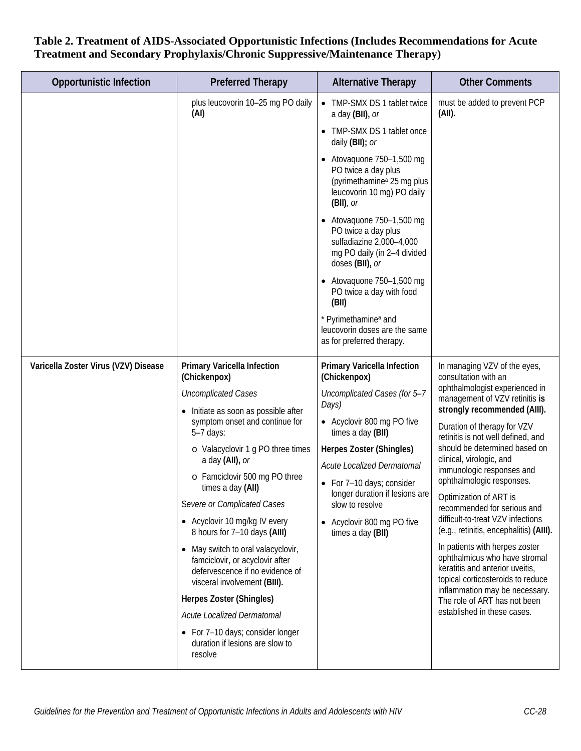| <b>Opportunistic Infection</b>       | <b>Preferred Therapy</b>                                                                                                                 | <b>Alternative Therapy</b>                                                                                                                       | <b>Other Comments</b>                                                                                                                                                     |
|--------------------------------------|------------------------------------------------------------------------------------------------------------------------------------------|--------------------------------------------------------------------------------------------------------------------------------------------------|---------------------------------------------------------------------------------------------------------------------------------------------------------------------------|
|                                      | plus leucovorin 10-25 mg PO daily<br>(AI)                                                                                                | • TMP-SMX DS 1 tablet twice<br>a day (BII), or                                                                                                   | must be added to prevent PCP<br>(AII).                                                                                                                                    |
|                                      |                                                                                                                                          | • TMP-SMX DS 1 tablet once<br>daily (BII); or                                                                                                    |                                                                                                                                                                           |
|                                      |                                                                                                                                          | $\bullet$ Atovaquone 750-1,500 mg<br>PO twice a day plus<br>(pyrimethamine <sup>a</sup> 25 mg plus<br>leucovorin 10 mg) PO daily<br>$(BII)$ , or |                                                                                                                                                                           |
|                                      |                                                                                                                                          | $\bullet$ Atovaquone 750-1,500 mg<br>PO twice a day plus<br>sulfadiazine 2,000-4,000<br>mg PO daily (in 2-4 divided<br>doses (BII), or           |                                                                                                                                                                           |
|                                      |                                                                                                                                          | $\bullet$ Atovaquone 750-1,500 mg<br>PO twice a day with food<br>(BII)                                                                           |                                                                                                                                                                           |
|                                      |                                                                                                                                          | * Pyrimethamine <sup>a</sup> and<br>leucovorin doses are the same<br>as for preferred therapy.                                                   |                                                                                                                                                                           |
| Varicella Zoster Virus (VZV) Disease | Primary Varicella Infection<br>(Chickenpox)                                                                                              | Primary Varicella Infection<br>(Chickenpox)                                                                                                      | In managing VZV of the eyes,<br>consultation with an                                                                                                                      |
|                                      | <b>Uncomplicated Cases</b>                                                                                                               | Uncomplicated Cases (for 5-7<br>Days)                                                                                                            | ophthalmologist experienced in<br>management of VZV retinitis is                                                                                                          |
|                                      | • Initiate as soon as possible after<br>symptom onset and continue for<br>$5-7$ days:                                                    | • Acyclovir 800 mg PO five<br>times a day (BII)                                                                                                  | strongly recommended (AIII).<br>Duration of therapy for VZV<br>retinitis is not well defined, and                                                                         |
|                                      | o Valacyclovir 1 g PO three times<br>a day (AII), or                                                                                     | Herpes Zoster (Shingles)                                                                                                                         | should be determined based on<br>clinical, virologic, and                                                                                                                 |
|                                      | o Famciclovir 500 mg PO three<br>times a day (AII)                                                                                       | Acute Localized Dermatomal<br>• For 7-10 days; consider                                                                                          | immunologic responses and<br>ophthalmologic responses.                                                                                                                    |
|                                      | Severe or Complicated Cases                                                                                                              | longer duration if lesions are<br>slow to resolve                                                                                                | Optimization of ART is<br>recommended for serious and                                                                                                                     |
|                                      | • Acyclovir 10 mg/kg IV every<br>8 hours for 7-10 days (AIII)                                                                            | • Acyclovir 800 mg PO five<br>times a day (BII)                                                                                                  | difficult-to-treat VZV infections<br>(e.g., retinitis, encephalitis) (AIII).                                                                                              |
|                                      | • May switch to oral valacyclovir,<br>famciclovir, or acyclovir after<br>defervescence if no evidence of<br>visceral involvement (BIII). |                                                                                                                                                  | In patients with herpes zoster<br>ophthalmicus who have stromal<br>keratitis and anterior uveitis,<br>topical corticosteroids to reduce<br>inflammation may be necessary. |
|                                      | Herpes Zoster (Shingles)<br>Acute Localized Dermatomal                                                                                   |                                                                                                                                                  | The role of ART has not been<br>established in these cases.                                                                                                               |
|                                      | • For 7-10 days; consider longer<br>duration if lesions are slow to<br>resolve                                                           |                                                                                                                                                  |                                                                                                                                                                           |